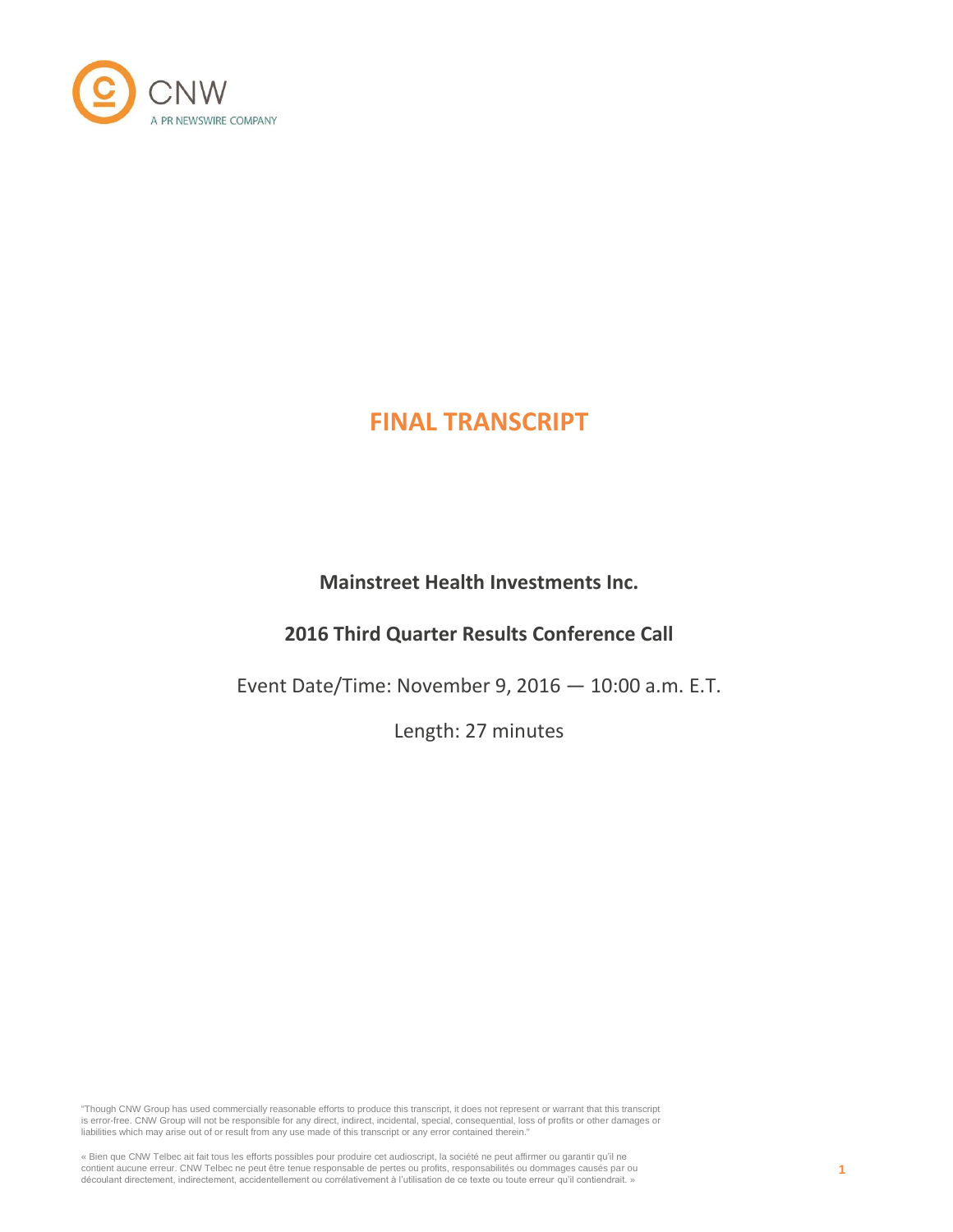

# **Mainstreet Health Investments Inc.**

# **2016 Third Quarter Results Conference Call**

Event Date/Time: November 9, 2016 — 10:00 a.m. E.T.

Length: 27 minutes

"Though CNW Group has used commercially reasonable efforts to produce this transcript, it does not represent or warrant that this transcript is error-free. CNW Group will not be responsible for any direct, indirect, incidental, special, consequential, loss of profits or other damages or liabilities which may arise out of or result from any use made of this transcript or any error contained therein."

« Bien que CNW Telbec ait fait tous les efforts possibles pour produire cet audioscript, la société ne peut affirmer ou garantir qu'il ne<br>contient aucune erreur. CNW Telbec ne peut être tenue responsable de pertes ou profi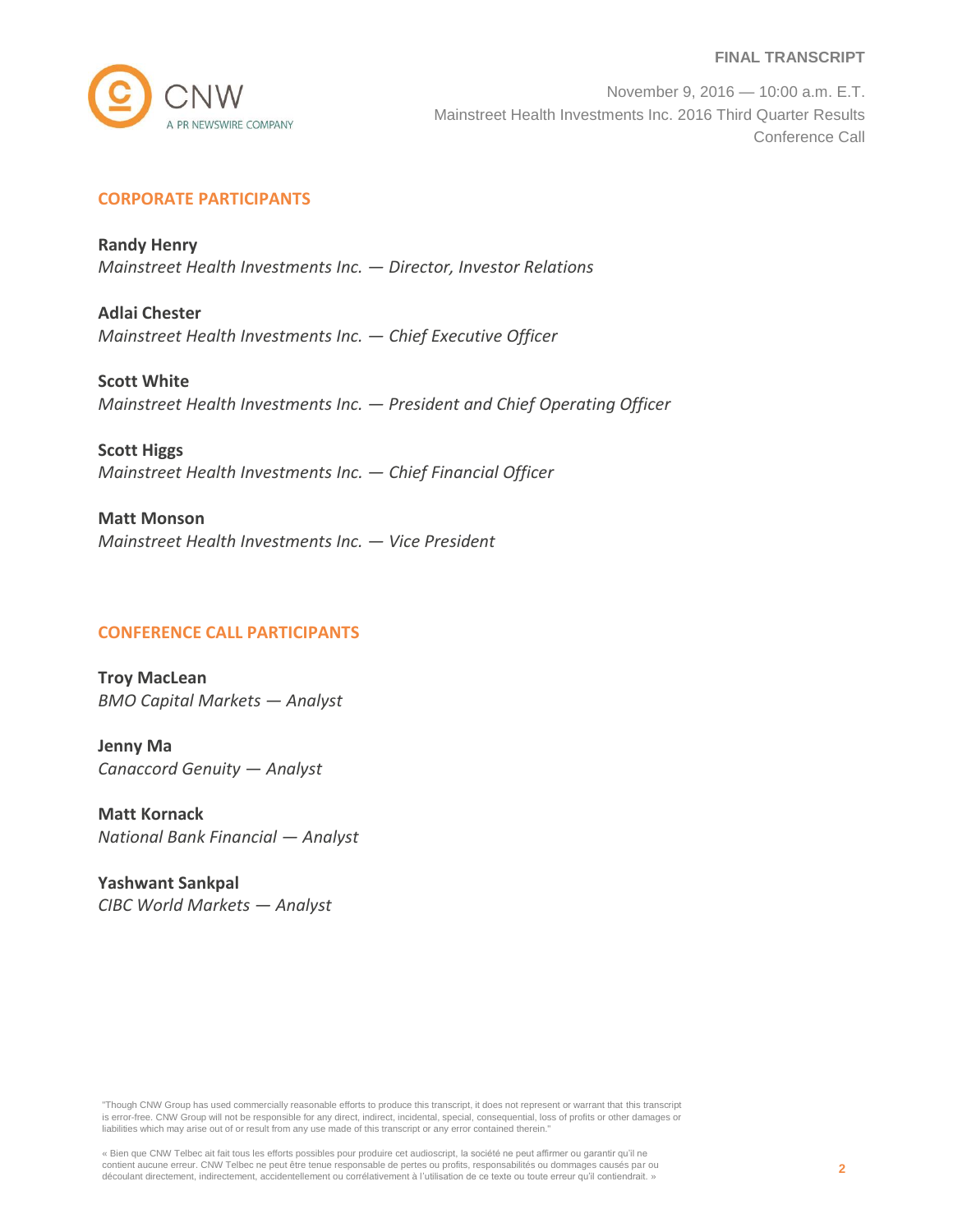

November 9, 2016 — 10:00 a.m. E.T. Mainstreet Health Investments Inc. 2016 Third Quarter Results Conference Call

# **CORPORATE PARTICIPANTS**

**Randy Henry** *Mainstreet Health Investments Inc. — Director, Investor Relations*

**Adlai Chester** *Mainstreet Health Investments Inc. — Chief Executive Officer*

**Scott White** *Mainstreet Health Investments Inc. — President and Chief Operating Officer*

**Scott Higgs** *Mainstreet Health Investments Inc. — Chief Financial Officer*

**Matt Monson** *Mainstreet Health Investments Inc. — Vice President*

# **CONFERENCE CALL PARTICIPANTS**

**Troy MacLean** *BMO Capital Markets — Analyst*

**Jenny Ma** *Canaccord Genuity — Analyst*

**Matt Kornack** *National Bank Financial — Analyst*

**Yashwant Sankpal** *CIBC World Markets — Analyst*

"Though CNW Group has used commercially reasonable efforts to produce this transcript, it does not represent or warrant that this transcript is error-free. CNW Group will not be responsible for any direct, indirect, incidental, special, consequential, loss of profits or other damages or liabilities which may arise out of or result from any use made of this transcript or any error contained therein."

« Bien que CNW Telbec ait fait tous les efforts possibles pour produire cet audioscript, la société ne peut affirmer ou garantir qu'il ne contient aucune erreur. CNW Telbec ne peut être tenue responsable de pertes ou profits, responsabilités ou dommages causés par ou<br>découlant directement, indirectement, accidentellement ou corrélativement à l'utilisation de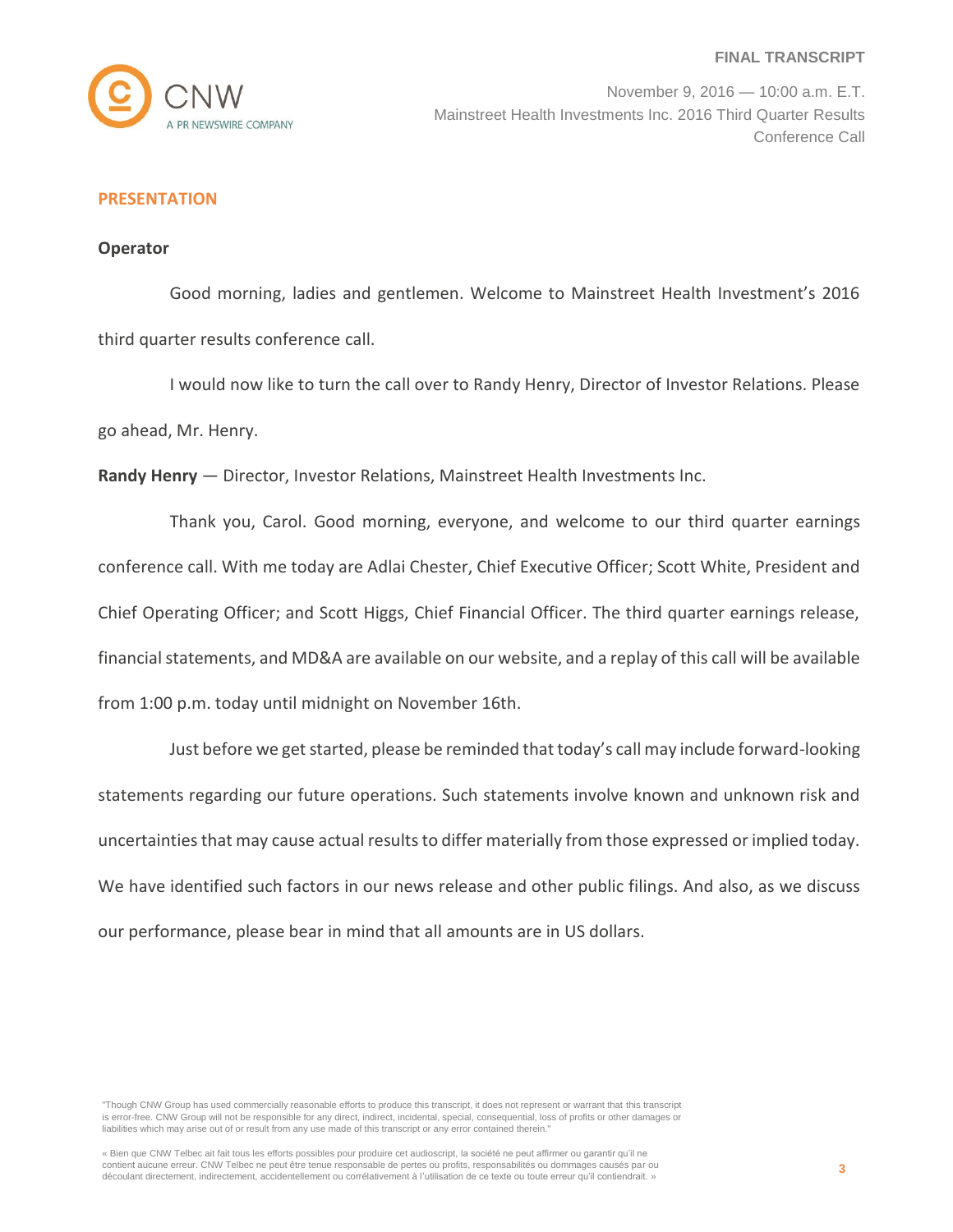

# **PRESENTATION**

#### **Operator**

Good morning, ladies and gentlemen. Welcome to Mainstreet Health Investment's 2016 third quarter results conference call.

I would now like to turn the call over to Randy Henry, Director of Investor Relations. Please go ahead, Mr. Henry.

**Randy Henry** — Director, Investor Relations, Mainstreet Health Investments Inc.

Thank you, Carol. Good morning, everyone, and welcome to our third quarter earnings conference call. With me today are Adlai Chester, Chief Executive Officer; Scott White, President and Chief Operating Officer; and Scott Higgs, Chief Financial Officer. The third quarter earnings release, financial statements, and MD&A are available on our website, and a replay of this call will be available from 1:00 p.m. today until midnight on November 16th.

Just before we get started, please be reminded that today's call may include forward-looking statements regarding our future operations. Such statements involve known and unknown risk and uncertainties that may cause actual results to differ materially from those expressed or implied today. We have identified such factors in our news release and other public filings. And also, as we discuss our performance, please bear in mind that all amounts are in US dollars.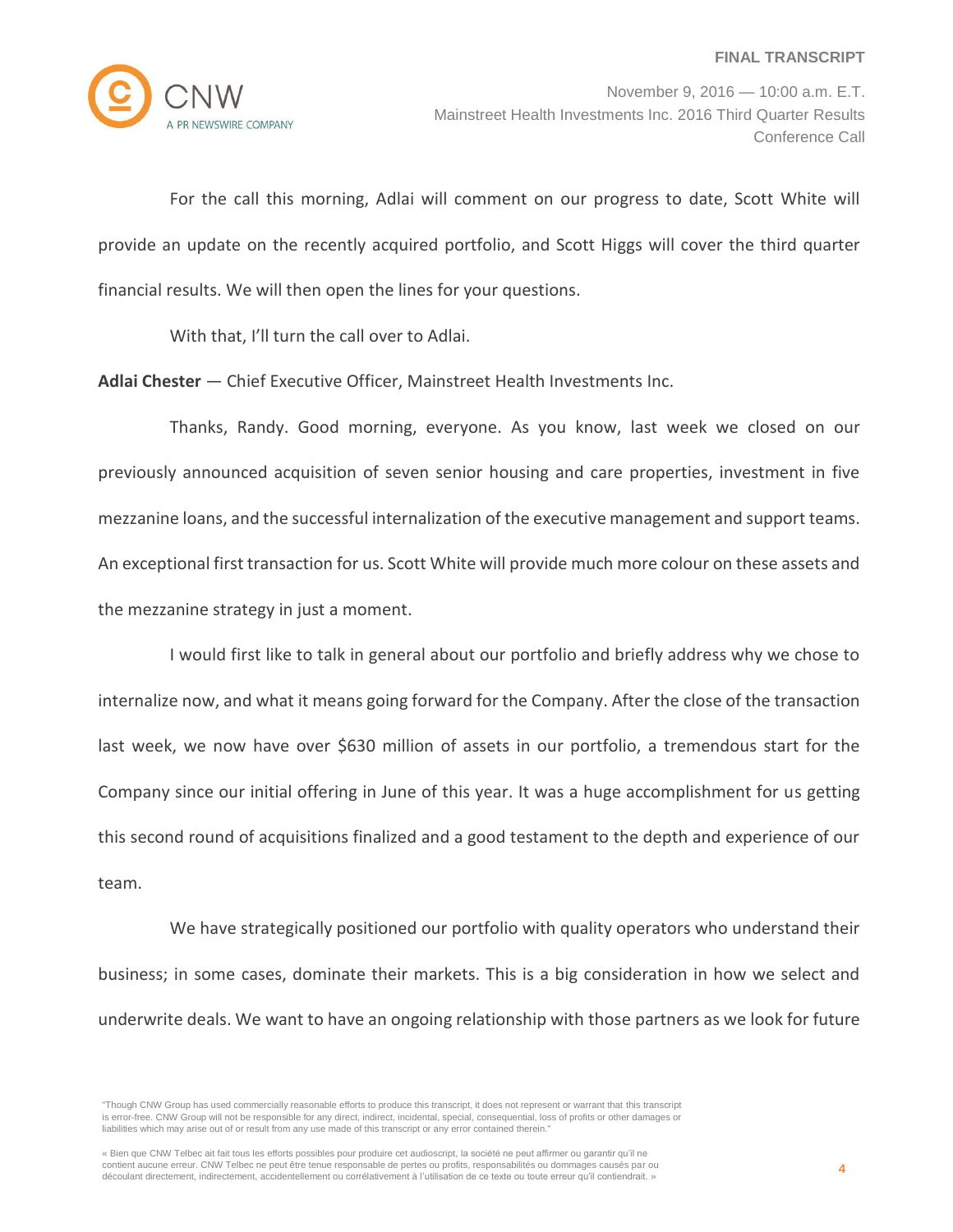

For the call this morning, Adlai will comment on our progress to date, Scott White will provide an update on the recently acquired portfolio, and Scott Higgs will cover the third quarter financial results. We will then open the lines for your questions.

With that, I'll turn the call over to Adlai.

**Adlai Chester** — Chief Executive Officer, Mainstreet Health Investments Inc.

Thanks, Randy. Good morning, everyone. As you know, last week we closed on our previously announced acquisition of seven senior housing and care properties, investment in five mezzanine loans, and the successful internalization of the executive management and support teams. An exceptional first transaction for us. Scott White will provide much more colour on these assets and the mezzanine strategy in just a moment.

I would first like to talk in general about our portfolio and briefly address why we chose to internalize now, and what it means going forward for the Company. After the close of the transaction last week, we now have over \$630 million of assets in our portfolio, a tremendous start for the Company since our initial offering in June of this year. It was a huge accomplishment for us getting this second round of acquisitions finalized and a good testament to the depth and experience of our team.

We have strategically positioned our portfolio with quality operators who understand their business; in some cases, dominate their markets. This is a big consideration in how we select and underwrite deals. We want to have an ongoing relationship with those partners as we look for future

<sup>&</sup>quot;Though CNW Group has used commercially reasonable efforts to produce this transcript, it does not represent or warrant that this transcript is error-free. CNW Group will not be responsible for any direct, indirect, incidental, special, consequential, loss of profits or other damages or liabilities which may arise out of or result from any use made of this transcript or any error contained therein."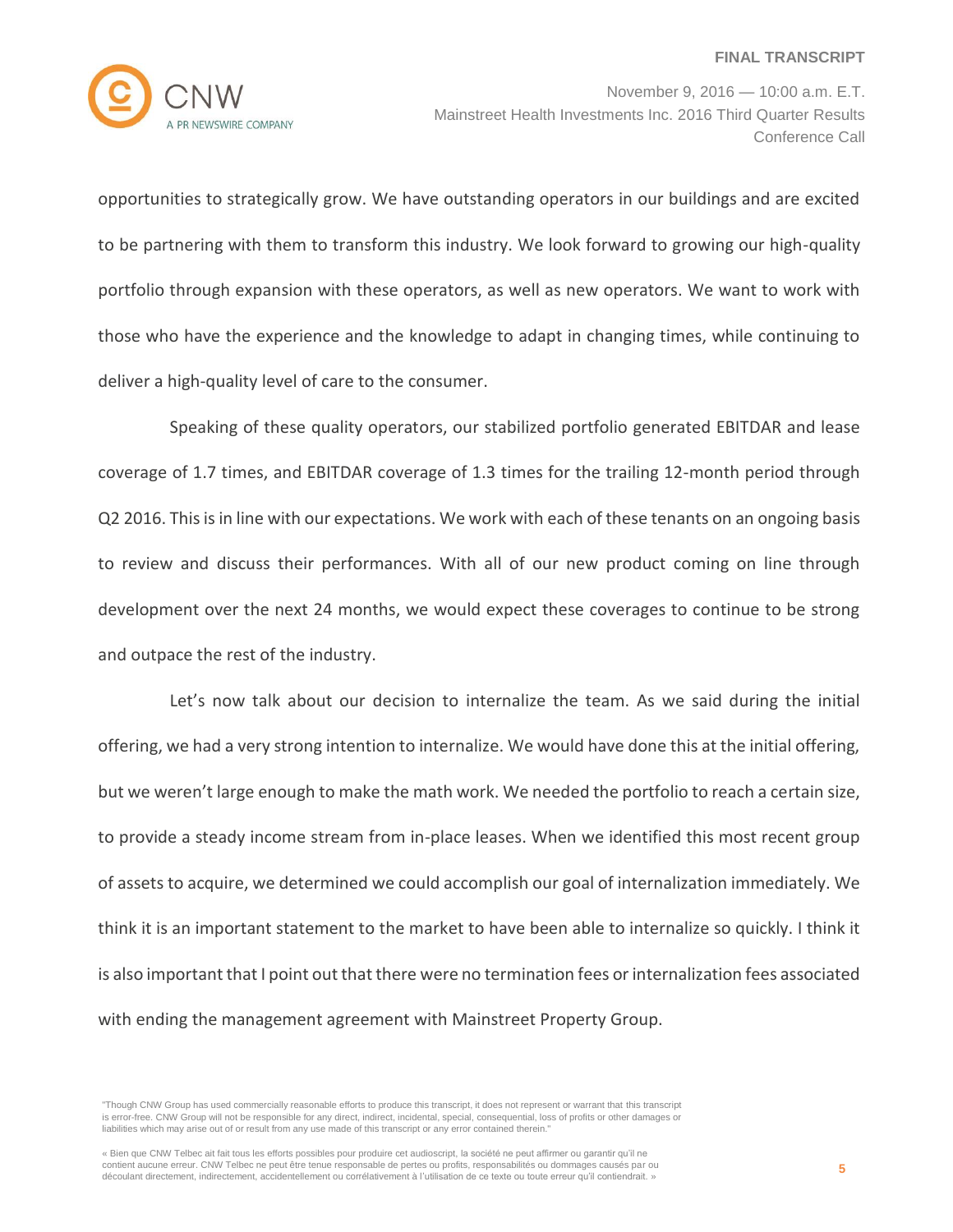

November 9, 2016 — 10:00 a.m. E.T. Mainstreet Health Investments Inc. 2016 Third Quarter Results Conference Call

opportunities to strategically grow. We have outstanding operators in our buildings and are excited to be partnering with them to transform this industry. We look forward to growing our high-quality portfolio through expansion with these operators, as well as new operators. We want to work with those who have the experience and the knowledge to adapt in changing times, while continuing to deliver a high-quality level of care to the consumer.

Speaking of these quality operators, our stabilized portfolio generated EBITDAR and lease coverage of 1.7 times, and EBITDAR coverage of 1.3 times for the trailing 12-month period through Q2 2016. This is in line with our expectations. We work with each of these tenants on an ongoing basis to review and discuss their performances. With all of our new product coming on line through development over the next 24 months, we would expect these coverages to continue to be strong and outpace the rest of the industry.

Let's now talk about our decision to internalize the team. As we said during the initial offering, we had a very strong intention to internalize. We would have done this at the initial offering, but we weren't large enough to make the math work. We needed the portfolio to reach a certain size, to provide a steady income stream from in-place leases. When we identified this most recent group of assets to acquire, we determined we could accomplish our goal of internalization immediately. We think it is an important statement to the market to have been able to internalize so quickly. I think it is also important that I point out that there were no termination fees or internalization fees associated with ending the management agreement with Mainstreet Property Group.

<sup>«</sup> Bien que CNW Telbec ait fait tous les efforts possibles pour produire cet audioscript, la société ne peut affirmer ou garantir qu'il ne contient aucune erreur. CNW Telbec ne peut être tenue responsable de pertes ou profits, responsabilités ou dommages causés par ou découlant directement, indirectement, accidentellement ou corrélativement à l'utilisation de ce texte ou toute erreur qu'il contiendrait. »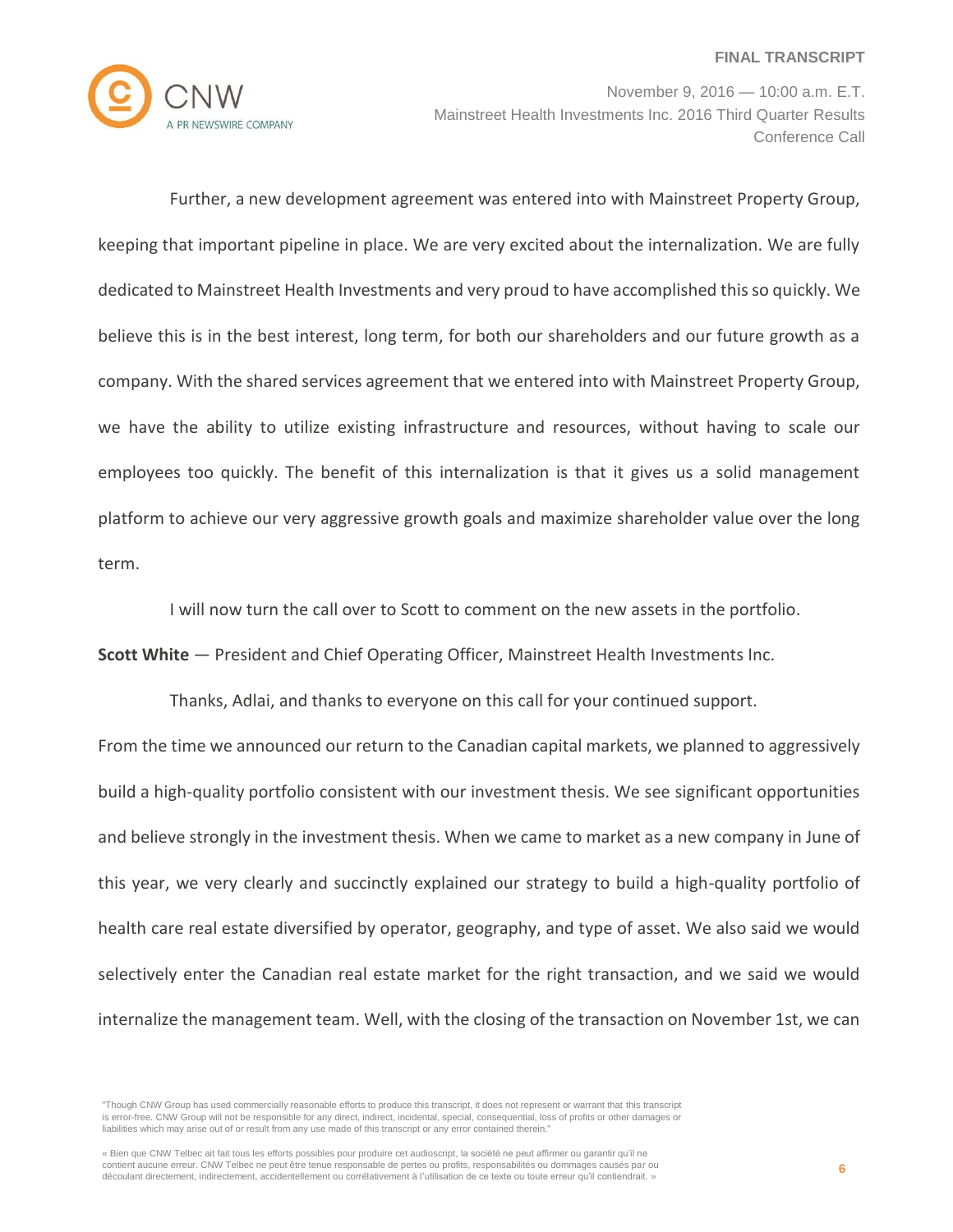

November 9, 2016 — 10:00 a.m. E.T. Mainstreet Health Investments Inc. 2016 Third Quarter Results Conference Call

Further, a new development agreement was entered into with Mainstreet Property Group, keeping that important pipeline in place. We are very excited about the internalization. We are fully dedicated to Mainstreet Health Investments and very proud to have accomplished this so quickly. We believe this is in the best interest, long term, for both our shareholders and our future growth as a company. With the shared services agreement that we entered into with Mainstreet Property Group, we have the ability to utilize existing infrastructure and resources, without having to scale our employees too quickly. The benefit of this internalization is that it gives us a solid management platform to achieve our very aggressive growth goals and maximize shareholder value over the long term.

I will now turn the call over to Scott to comment on the new assets in the portfolio.

**Scott White** — President and Chief Operating Officer, Mainstreet Health Investments Inc.

Thanks, Adlai, and thanks to everyone on this call for your continued support.

From the time we announced our return to the Canadian capital markets, we planned to aggressively build a high-quality portfolio consistent with our investment thesis. We see significant opportunities and believe strongly in the investment thesis. When we came to market as a new company in June of this year, we very clearly and succinctly explained our strategy to build a high-quality portfolio of health care real estate diversified by operator, geography, and type of asset. We also said we would selectively enter the Canadian real estate market for the right transaction, and we said we would internalize the management team. Well, with the closing of the transaction on November 1st, we can

<sup>&</sup>quot;Though CNW Group has used commercially reasonable efforts to produce this transcript, it does not represent or warrant that this transcript is error-free. CNW Group will not be responsible for any direct, indirect, incidental, special, consequential, loss of profits or other damages or liabilities which may arise out of or result from any use made of this transcript or any error contained therein."

<sup>«</sup> Bien que CNW Telbec ait fait tous les efforts possibles pour produire cet audioscript, la société ne peut affirmer ou garantir qu'il ne contient aucune erreur. CNW Telbec ne peut être tenue responsable de pertes ou profits, responsabilités ou dommages causés par ou découlant directement, indirectement, accidentellement ou corrélativement à l'utilisation de ce texte ou toute erreur qu'il contiendrait. »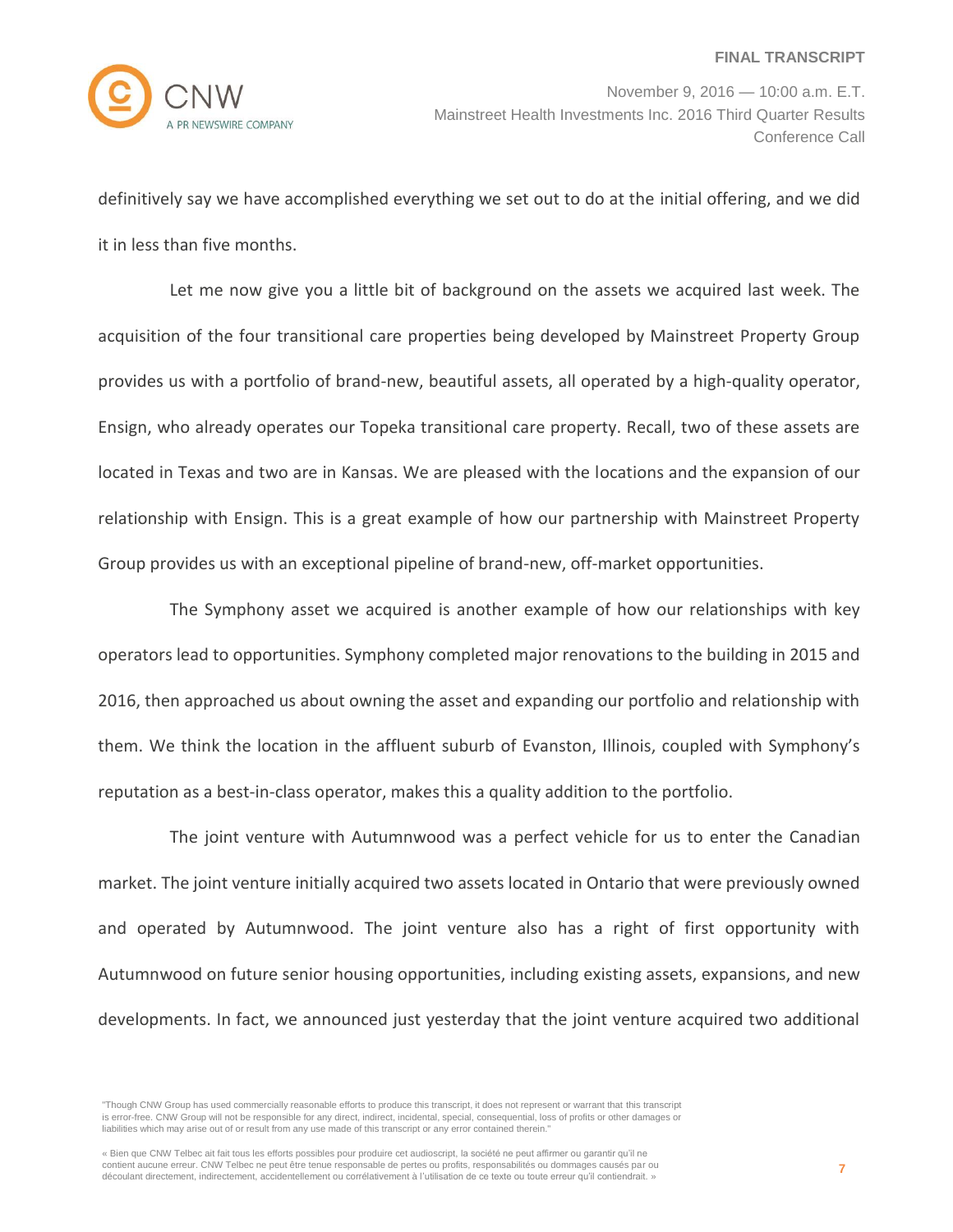

definitively say we have accomplished everything we set out to do at the initial offering, and we did it in less than five months.

Let me now give you a little bit of background on the assets we acquired last week. The acquisition of the four transitional care properties being developed by Mainstreet Property Group provides us with a portfolio of brand-new, beautiful assets, all operated by a high-quality operator, Ensign, who already operates our Topeka transitional care property. Recall, two of these assets are located in Texas and two are in Kansas. We are pleased with the locations and the expansion of our relationship with Ensign. This is a great example of how our partnership with Mainstreet Property Group provides us with an exceptional pipeline of brand-new, off-market opportunities.

The Symphony asset we acquired is another example of how our relationships with key operators lead to opportunities. Symphony completed major renovations to the building in 2015 and 2016, then approached us about owning the asset and expanding our portfolio and relationship with them. We think the location in the affluent suburb of Evanston, Illinois, coupled with Symphony's reputation as a best-in-class operator, makes this a quality addition to the portfolio.

The joint venture with Autumnwood was a perfect vehicle for us to enter the Canadian market. The joint venture initially acquired two assets located in Ontario that were previously owned and operated by Autumnwood. The joint venture also has a right of first opportunity with Autumnwood on future senior housing opportunities, including existing assets, expansions, and new developments. In fact, we announced just yesterday that the joint venture acquired two additional

<sup>&</sup>quot;Though CNW Group has used commercially reasonable efforts to produce this transcript, it does not represent or warrant that this transcript is error-free. CNW Group will not be responsible for any direct, indirect, incidental, special, consequential, loss of profits or other damages or liabilities which may arise out of or result from any use made of this transcript or any error contained therein."

<sup>«</sup> Bien que CNW Telbec ait fait tous les efforts possibles pour produire cet audioscript, la société ne peut affirmer ou garantir qu'il ne contient aucune erreur. CNW Telbec ne peut être tenue responsable de pertes ou profits, responsabilités ou dommages causés par ou découlant directement, indirectement, accidentellement ou corrélativement à l'utilisation de ce texte ou toute erreur qu'il contiendrait. »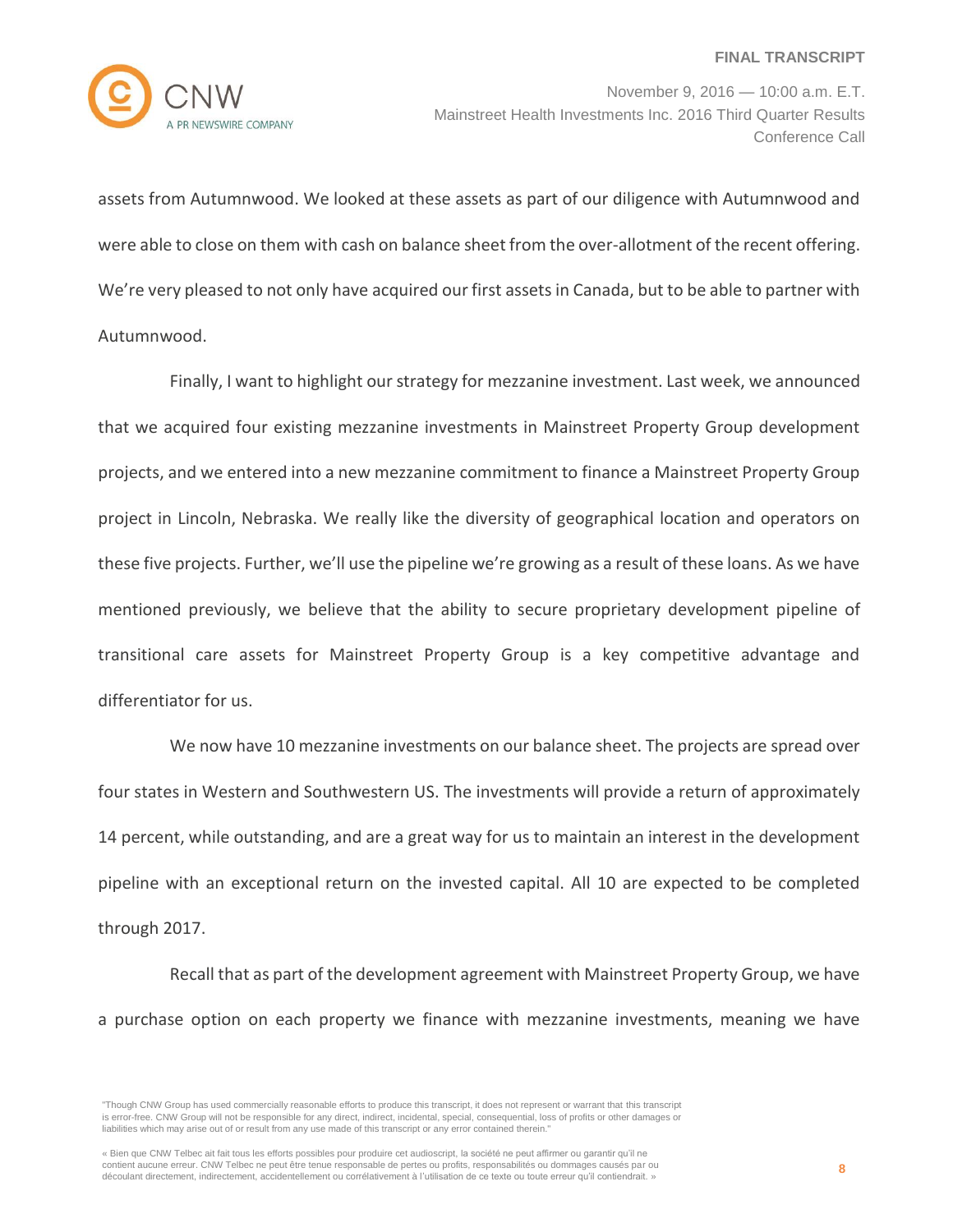

November 9, 2016 — 10:00 a.m. E.T. Mainstreet Health Investments Inc. 2016 Third Quarter Results Conference Call

assets from Autumnwood. We looked at these assets as part of our diligence with Autumnwood and were able to close on them with cash on balance sheet from the over-allotment of the recent offering. We're very pleased to not only have acquired our first assets in Canada, but to be able to partner with Autumnwood.

Finally, I want to highlight our strategy for mezzanine investment. Last week, we announced that we acquired four existing mezzanine investments in Mainstreet Property Group development projects, and we entered into a new mezzanine commitment to finance a Mainstreet Property Group project in Lincoln, Nebraska. We really like the diversity of geographical location and operators on these five projects. Further, we'll use the pipeline we're growing as a result of these loans. As we have mentioned previously, we believe that the ability to secure proprietary development pipeline of transitional care assets for Mainstreet Property Group is a key competitive advantage and differentiator for us.

We now have 10 mezzanine investments on our balance sheet. The projects are spread over four states in Western and Southwestern US. The investments will provide a return of approximately 14 percent, while outstanding, and are a great way for us to maintain an interest in the development pipeline with an exceptional return on the invested capital. All 10 are expected to be completed through 2017.

Recall that as part of the development agreement with Mainstreet Property Group, we have a purchase option on each property we finance with mezzanine investments, meaning we have

<sup>&</sup>quot;Though CNW Group has used commercially reasonable efforts to produce this transcript, it does not represent or warrant that this transcript is error-free. CNW Group will not be responsible for any direct, indirect, incidental, special, consequential, loss of profits or other damages or liabilities which may arise out of or result from any use made of this transcript or any error contained therein."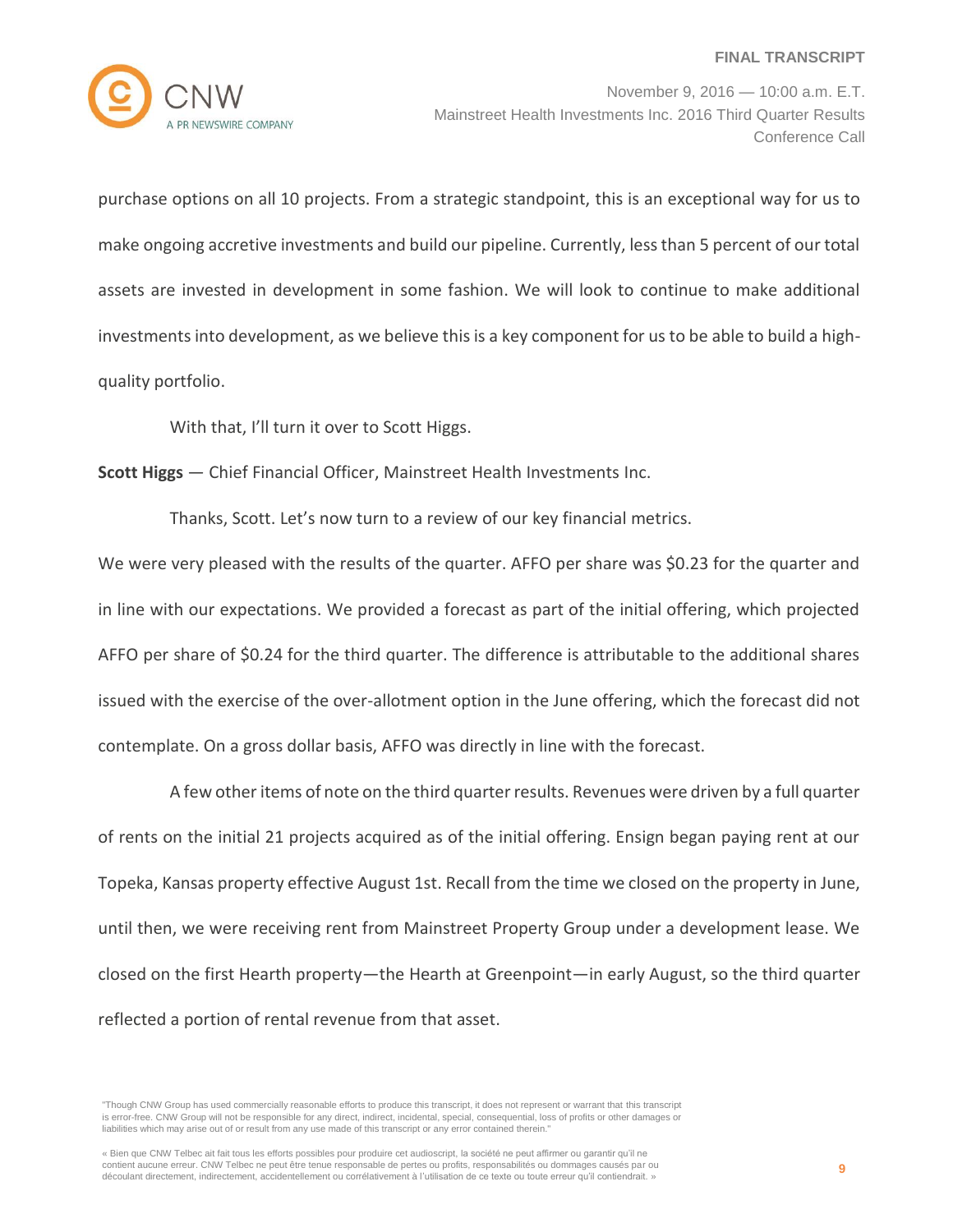

purchase options on all 10 projects. From a strategic standpoint, this is an exceptional way for us to make ongoing accretive investments and build our pipeline. Currently, less than 5 percent of our total assets are invested in development in some fashion. We will look to continue to make additional investments into development, as we believe this is a key component for us to be able to build a highquality portfolio.

With that, I'll turn it over to Scott Higgs.

**Scott Higgs** — Chief Financial Officer, Mainstreet Health Investments Inc.

Thanks, Scott. Let's now turn to a review of our key financial metrics.

We were very pleased with the results of the quarter. AFFO per share was \$0.23 for the quarter and in line with our expectations. We provided a forecast as part of the initial offering, which projected AFFO per share of \$0.24 for the third quarter. The difference is attributable to the additional shares issued with the exercise of the over-allotment option in the June offering, which the forecast did not contemplate. On a gross dollar basis, AFFO was directly in line with the forecast.

A few other items of note on the third quarter results. Revenues were driven by a full quarter of rents on the initial 21 projects acquired as of the initial offering. Ensign began paying rent at our Topeka, Kansas property effective August 1st. Recall from the time we closed on the property in June, until then, we were receiving rent from Mainstreet Property Group under a development lease. We closed on the first Hearth property—the Hearth at Greenpoint—in early August, so the third quarter reflected a portion of rental revenue from that asset.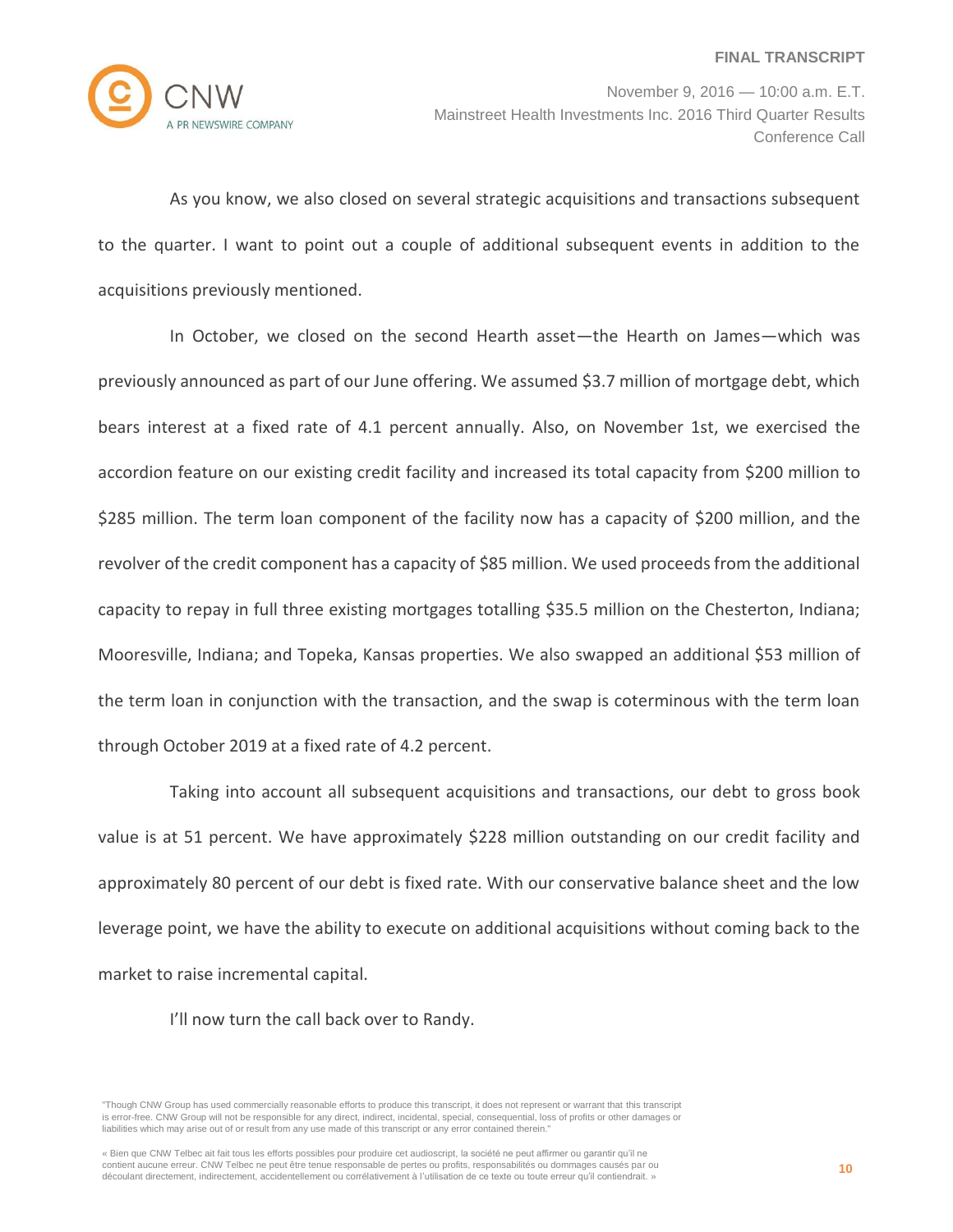

November 9, 2016 — 10:00 a.m. E.T. Mainstreet Health Investments Inc. 2016 Third Quarter Results Conference Call

As you know, we also closed on several strategic acquisitions and transactions subsequent to the quarter. I want to point out a couple of additional subsequent events in addition to the acquisitions previously mentioned.

In October, we closed on the second Hearth asset—the Hearth on James—which was previously announced as part of our June offering. We assumed \$3.7 million of mortgage debt, which bears interest at a fixed rate of 4.1 percent annually. Also, on November 1st, we exercised the accordion feature on our existing credit facility and increased its total capacity from \$200 million to \$285 million. The term loan component of the facility now has a capacity of \$200 million, and the revolver of the credit component has a capacity of \$85 million. We used proceeds from the additional capacity to repay in full three existing mortgages totalling \$35.5 million on the Chesterton, Indiana; Mooresville, Indiana; and Topeka, Kansas properties. We also swapped an additional \$53 million of the term loan in conjunction with the transaction, and the swap is coterminous with the term loan through October 2019 at a fixed rate of 4.2 percent.

Taking into account all subsequent acquisitions and transactions, our debt to gross book value is at 51 percent. We have approximately \$228 million outstanding on our credit facility and approximately 80 percent of our debt is fixed rate. With our conservative balance sheet and the low leverage point, we have the ability to execute on additional acquisitions without coming back to the market to raise incremental capital.

I'll now turn the call back over to Randy.

<sup>«</sup> Bien que CNW Telbec ait fait tous les efforts possibles pour produire cet audioscript, la société ne peut affirmer ou garantir qu'il ne contient aucune erreur. CNW Telbec ne peut être tenue responsable de pertes ou profits, responsabilités ou dommages causés par ou découlant directement, indirectement, accidentellement ou corrélativement à l'utilisation de ce texte ou toute erreur qu'il contiendrait. »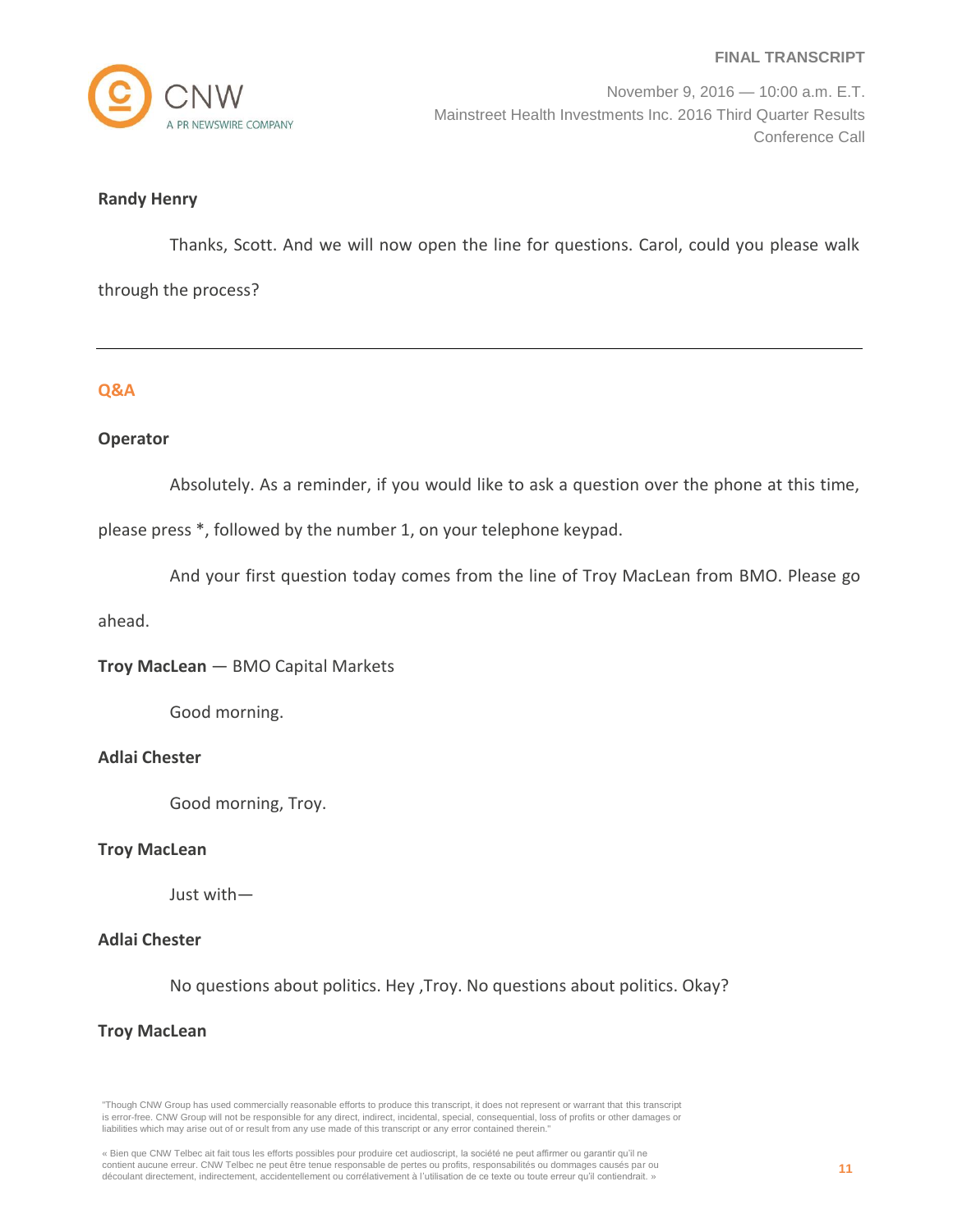

November 9, 2016 — 10:00 a.m. E.T. Mainstreet Health Investments Inc. 2016 Third Quarter Results Conference Call

### **Randy Henry**

Thanks, Scott. And we will now open the line for questions. Carol, could you please walk through the process?

### **Q&A**

#### **Operator**

Absolutely. As a reminder, if you would like to ask a question over the phone at this time,

please press \*, followed by the number 1, on your telephone keypad.

And your first question today comes from the line of Troy MacLean from BMO. Please go

#### ahead.

**Troy MacLean** — BMO Capital Markets

Good morning.

### **Adlai Chester**

Good morning, Troy.

#### **Troy MacLean**

Just with—

## **Adlai Chester**

No questions about politics. Hey ,Troy. No questions about politics. Okay?

### **Troy MacLean**

<sup>«</sup> Bien que CNW Telbec ait fait tous les efforts possibles pour produire cet audioscript, la société ne peut affirmer ou garantir qu'il ne contient aucune erreur. CNW Telbec ne peut être tenue responsable de pertes ou profits, responsabilités ou dommages causés par ou découlant directement, indirectement, accidentellement ou corrélativement à l'utilisation de ce texte ou toute erreur qu'il contiendrait. »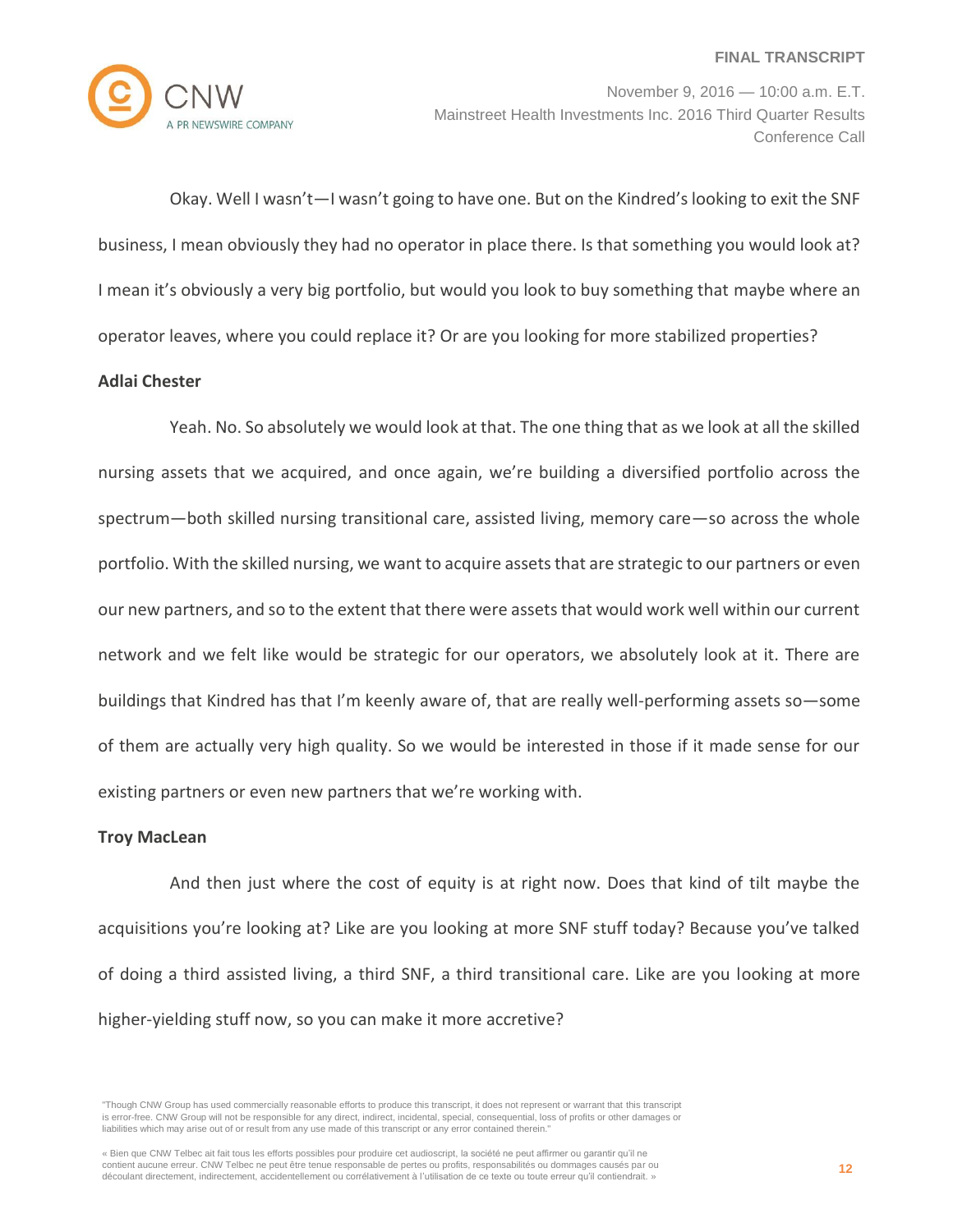

November 9, 2016 — 10:00 a.m. E.T. Mainstreet Health Investments Inc. 2016 Third Quarter Results Conference Call

Okay. Well I wasn't—I wasn't going to have one. But on the Kindred's looking to exit the SNF business, I mean obviously they had no operator in place there. Is that something you would look at? I mean it's obviously a very big portfolio, but would you look to buy something that maybe where an operator leaves, where you could replace it? Or are you looking for more stabilized properties?

#### **Adlai Chester**

Yeah. No. So absolutely we would look at that. The one thing that as we look at all the skilled nursing assets that we acquired, and once again, we're building a diversified portfolio across the spectrum—both skilled nursing transitional care, assisted living, memory care—so across the whole portfolio. With the skilled nursing, we want to acquire assets that are strategic to our partners or even our new partners, and so to the extent that there were assets that would work well within our current network and we felt like would be strategic for our operators, we absolutely look at it. There are buildings that Kindred has that I'm keenly aware of, that are really well-performing assets so—some of them are actually very high quality. So we would be interested in those if it made sense for our existing partners or even new partners that we're working with.

#### **Troy MacLean**

And then just where the cost of equity is at right now. Does that kind of tilt maybe the acquisitions you're looking at? Like are you looking at more SNF stuff today? Because you've talked of doing a third assisted living, a third SNF, a third transitional care. Like are you looking at more higher-yielding stuff now, so you can make it more accretive?

<sup>&</sup>quot;Though CNW Group has used commercially reasonable efforts to produce this transcript, it does not represent or warrant that this transcript is error-free. CNW Group will not be responsible for any direct, indirect, incidental, special, consequential, loss of profits or other damages or liabilities which may arise out of or result from any use made of this transcript or any error contained therein."

<sup>«</sup> Bien que CNW Telbec ait fait tous les efforts possibles pour produire cet audioscript, la société ne peut affirmer ou garantir qu'il ne contient aucune erreur. CNW Telbec ne peut être tenue responsable de pertes ou profits, responsabilités ou dommages causés par ou découlant directement, indirectement, accidentellement ou corrélativement à l'utilisation de ce texte ou toute erreur qu'il contiendrait. »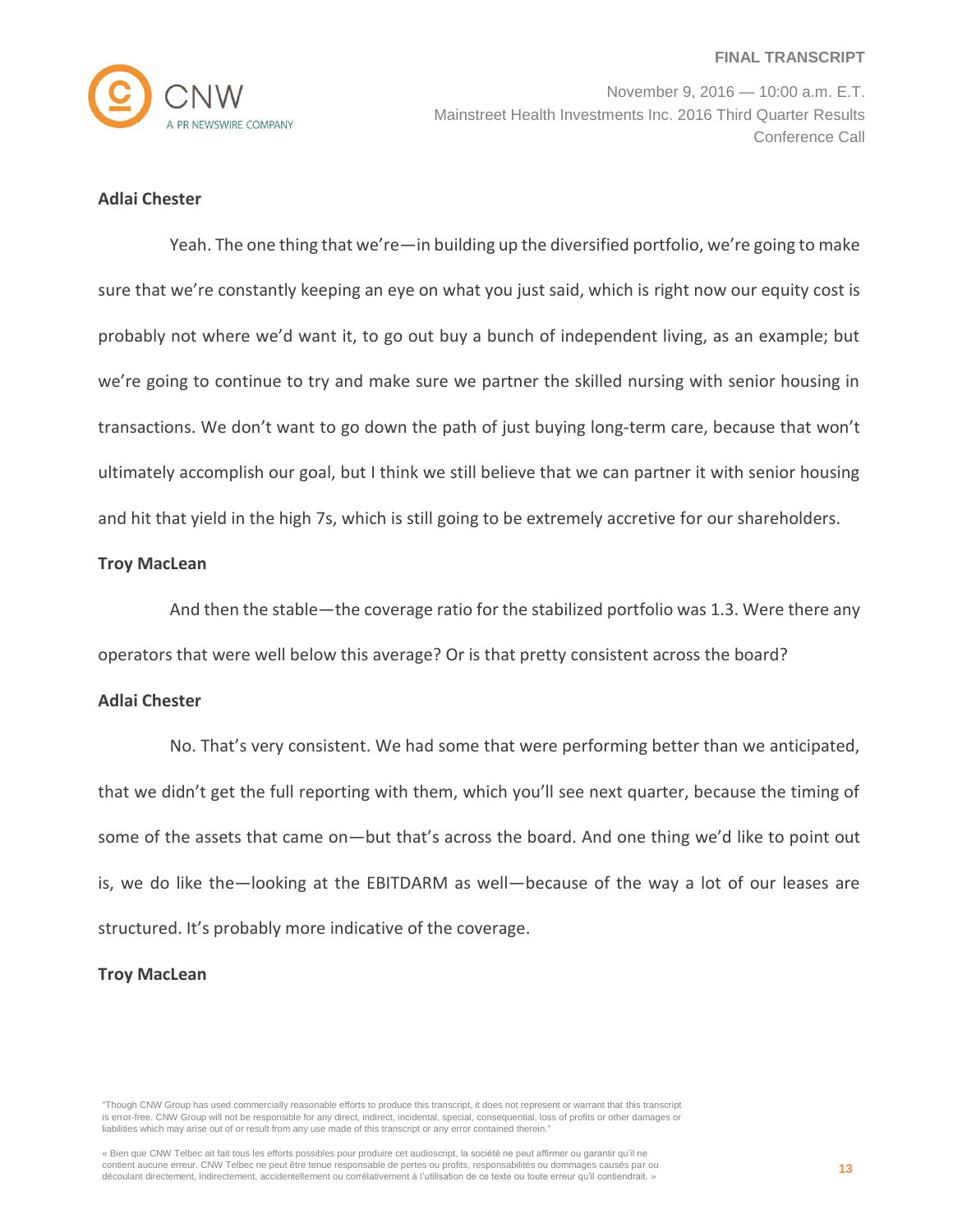

November 9, 2016 — 10:00 a.m. E.T. Mainstreet Health Investments Inc. 2016 Third Quarter Results Conference Call

#### **Adlai Chester**

Yeah. The one thing that we're—in building up the diversified portfolio, we're going to make sure that we're constantly keeping an eye on what you just said, which is right now our equity cost is probably not where we'd want it, to go out buy a bunch of independent living, as an example; but we're going to continue to try and make sure we partner the skilled nursing with senior housing in transactions. We don't want to go down the path of just buying long-term care, because that won't ultimately accomplish our goal, but I think we still believe that we can partner it with senior housing and hit that yield in the high 7s, which is still going to be extremely accretive for our shareholders.

## **Troy MacLean**

And then the stable—the coverage ratio for the stabilized portfolio was 1.3. Were there any operators that were well below this average? Or is that pretty consistent across the board?

### **Adlai Chester**

No. That's very consistent. We had some that were performing better than we anticipated, that we didn't get the full reporting with them, which you'll see next quarter, because the timing of some of the assets that came on—but that's across the board. And one thing we'd like to point out is, we do like the—looking at the EBITDARM as well—because of the way a lot of our leases are structured. It's probably more indicative of the coverage.

# **Troy MacLean**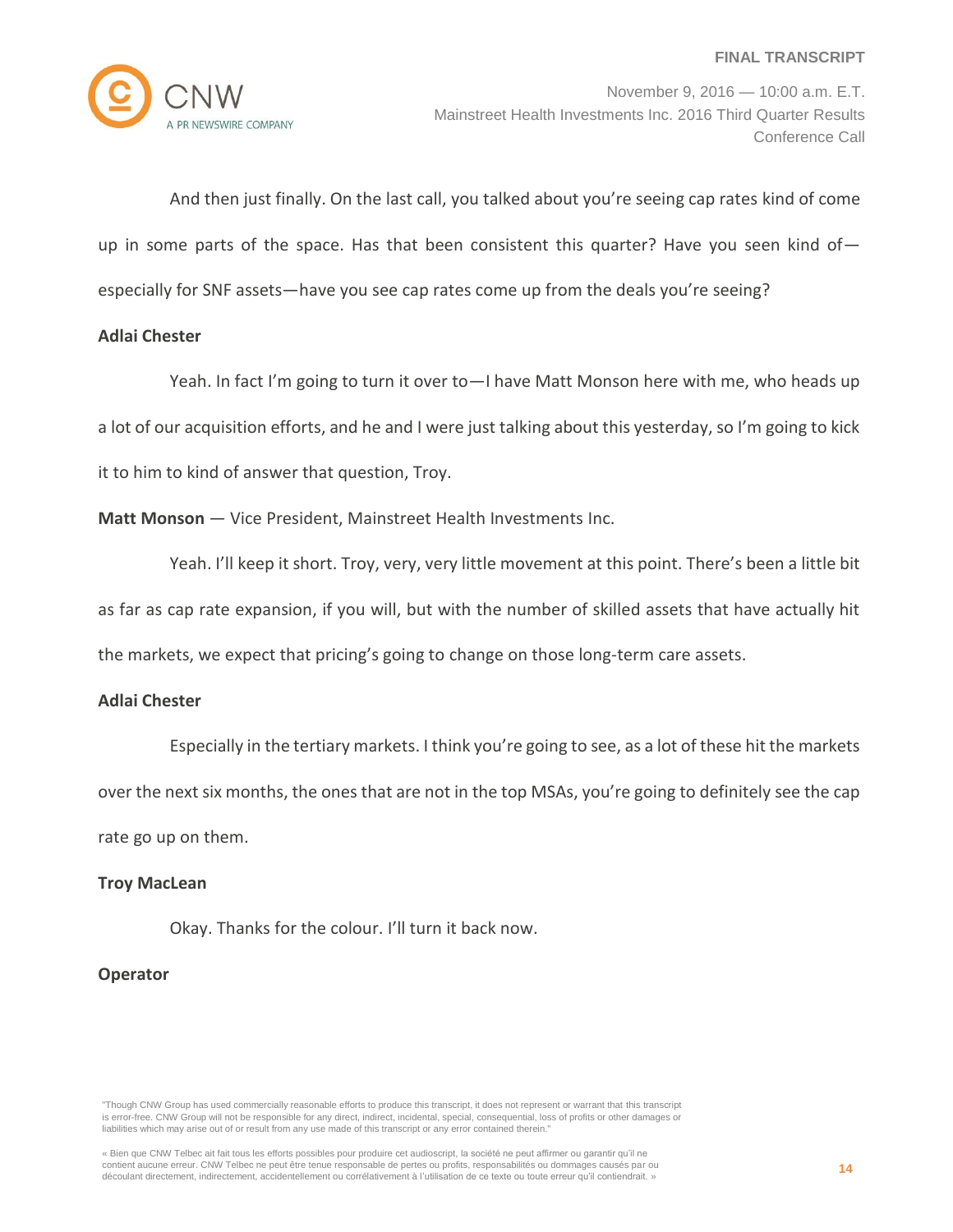

And then just finally. On the last call, you talked about you're seeing cap rates kind of come up in some parts of the space. Has that been consistent this quarter? Have you seen kind of  $$ especially for SNF assets—have you see cap rates come up from the deals you're seeing?

## **Adlai Chester**

Yeah. In fact I'm going to turn it over to—I have Matt Monson here with me, who heads up a lot of our acquisition efforts, and he and I were just talking about this yesterday, so I'm going to kick it to him to kind of answer that question, Troy.

**Matt Monson** — Vice President, Mainstreet Health Investments Inc.

Yeah. I'll keep it short. Troy, very, very little movement at this point. There's been a little bit as far as cap rate expansion, if you will, but with the number of skilled assets that have actually hit the markets, we expect that pricing's going to change on those long-term care assets.

# **Adlai Chester**

Especially in the tertiary markets. I think you're going to see, as a lot of these hit the markets over the next six months, the ones that are not in the top MSAs, you're going to definitely see the cap rate go up on them.

# **Troy MacLean**

Okay. Thanks for the colour. I'll turn it back now.

# **Operator**

<sup>«</sup> Bien que CNW Telbec ait fait tous les efforts possibles pour produire cet audioscript, la société ne peut affirmer ou garantir qu'il ne contient aucune erreur. CNW Telbec ne peut être tenue responsable de pertes ou profits, responsabilités ou dommages causés par ou découlant directement, indirectement, accidentellement ou corrélativement à l'utilisation de ce texte ou toute erreur qu'il contiendrait. »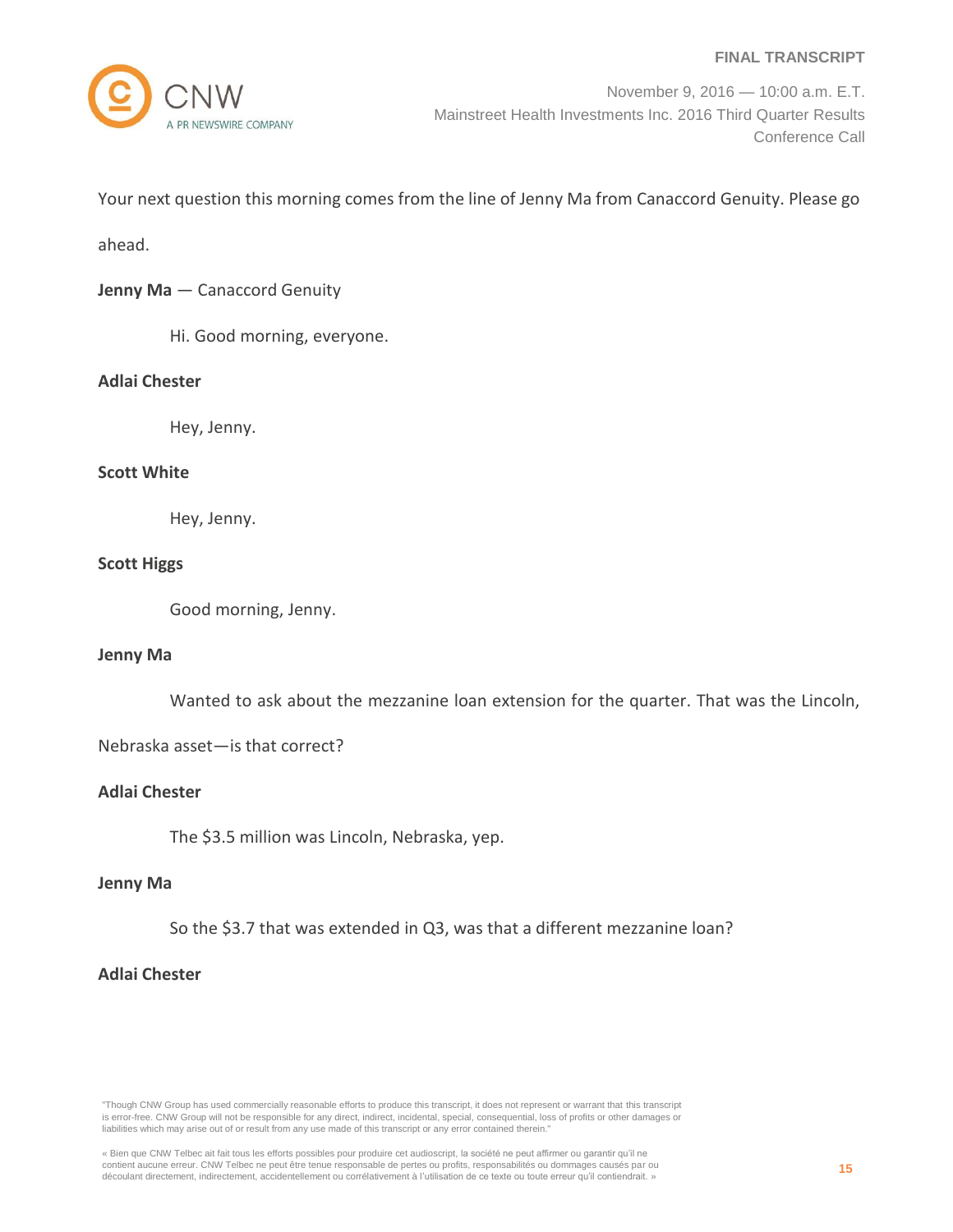

Your next question this morning comes from the line of Jenny Ma from Canaccord Genuity. Please go

ahead.

# **Jenny Ma** — Canaccord Genuity

Hi. Good morning, everyone.

# **Adlai Chester**

Hey, Jenny.

# **Scott White**

Hey, Jenny.

# **Scott Higgs**

Good morning, Jenny.

### **Jenny Ma**

Wanted to ask about the mezzanine loan extension for the quarter. That was the Lincoln,

Nebraska asset—is that correct?

# **Adlai Chester**

The \$3.5 million was Lincoln, Nebraska, yep.

#### **Jenny Ma**

So the \$3.7 that was extended in Q3, was that a different mezzanine loan?

### **Adlai Chester**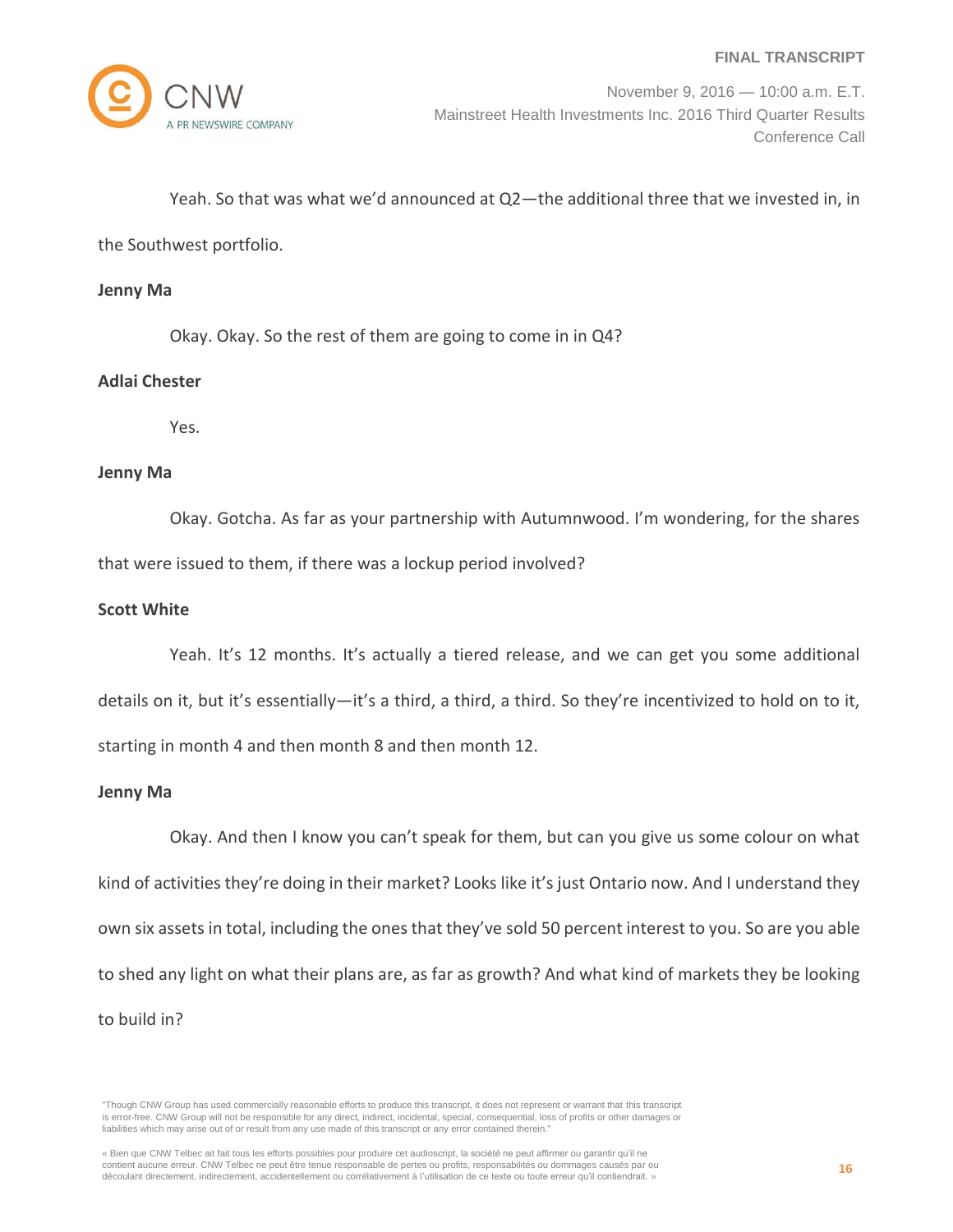

# Yeah. So that was what we'd announced at Q2—the additional three that we invested in, in

the Southwest portfolio.

#### **Jenny Ma**

Okay. Okay. So the rest of them are going to come in in Q4?

### **Adlai Chester**

Yes.

#### **Jenny Ma**

Okay. Gotcha. As far as your partnership with Autumnwood. I'm wondering, for the shares that were issued to them, if there was a lockup period involved?

#### **Scott White**

Yeah. It's 12 months. It's actually a tiered release, and we can get you some additional details on it, but it's essentially—it's a third, a third, a third. So they're incentivized to hold on to it, starting in month 4 and then month 8 and then month 12.

#### **Jenny Ma**

Okay. And then I know you can't speak for them, but can you give us some colour on what kind of activities they're doing in their market? Looks like it's just Ontario now. And I understand they own six assets in total, including the ones that they've sold 50 percent interest to you. So are you able to shed any light on what their plans are, as far as growth? And what kind of markets they be looking to build in?

<sup>&</sup>quot;Though CNW Group has used commercially reasonable efforts to produce this transcript, it does not represent or warrant that this transcript is error-free. CNW Group will not be responsible for any direct, indirect, incidental, special, consequential, loss of profits or other damages or liabilities which may arise out of or result from any use made of this transcript or any error contained therein."

<sup>«</sup> Bien que CNW Telbec ait fait tous les efforts possibles pour produire cet audioscript, la société ne peut affirmer ou garantir qu'il ne contient aucune erreur. CNW Telbec ne peut être tenue responsable de pertes ou profits, responsabilités ou dommages causés par ou découlant directement, indirectement, accidentellement ou corrélativement à l'utilisation de ce texte ou toute erreur qu'il contiendrait. »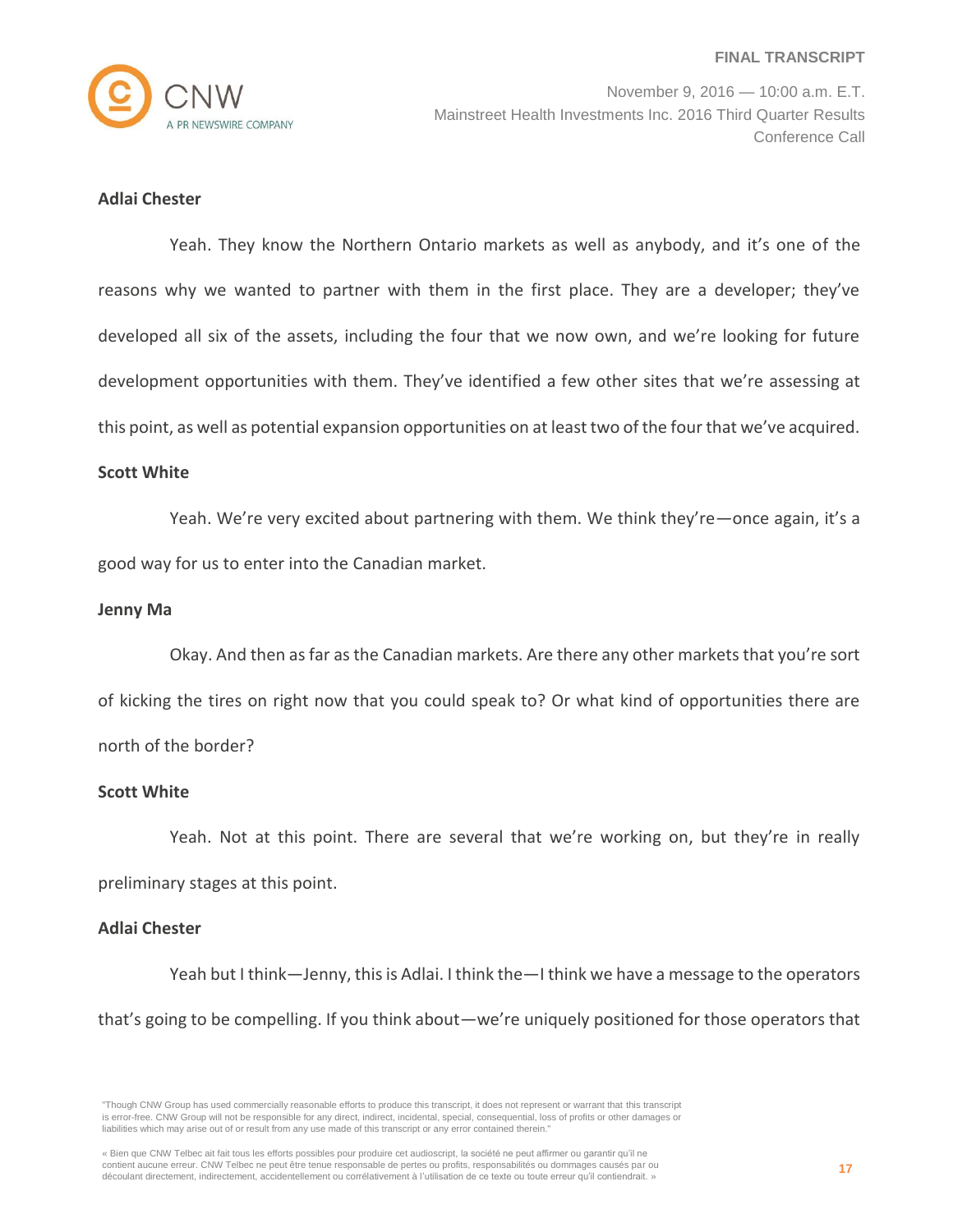

#### **Adlai Chester**

Yeah. They know the Northern Ontario markets as well as anybody, and it's one of the reasons why we wanted to partner with them in the first place. They are a developer; they've developed all six of the assets, including the four that we now own, and we're looking for future development opportunities with them. They've identified a few other sites that we're assessing at this point, as well as potential expansion opportunities on at least two of the four that we've acquired.

#### **Scott White**

Yeah. We're very excited about partnering with them. We think they're—once again, it's a good way for us to enter into the Canadian market.

#### **Jenny Ma**

Okay. And then as far as the Canadian markets. Are there any other markets that you're sort of kicking the tires on right now that you could speak to? Or what kind of opportunities there are north of the border?

### **Scott White**

Yeah. Not at this point. There are several that we're working on, but they're in really preliminary stages at this point.

### **Adlai Chester**

Yeah but I think—Jenny, this is Adlai. I think the—I think we have a message to the operators that's going to be compelling. If you think about—we're uniquely positioned for those operators that

<sup>&</sup>quot;Though CNW Group has used commercially reasonable efforts to produce this transcript, it does not represent or warrant that this transcript is error-free. CNW Group will not be responsible for any direct, indirect, incidental, special, consequential, loss of profits or other damages or liabilities which may arise out of or result from any use made of this transcript or any error contained therein."

<sup>«</sup> Bien que CNW Telbec ait fait tous les efforts possibles pour produire cet audioscript, la société ne peut affirmer ou garantir qu'il ne contient aucune erreur. CNW Telbec ne peut être tenue responsable de pertes ou profits, responsabilités ou dommages causés par ou découlant directement, indirectement, accidentellement ou corrélativement à l'utilisation de ce texte ou toute erreur qu'il contiendrait. »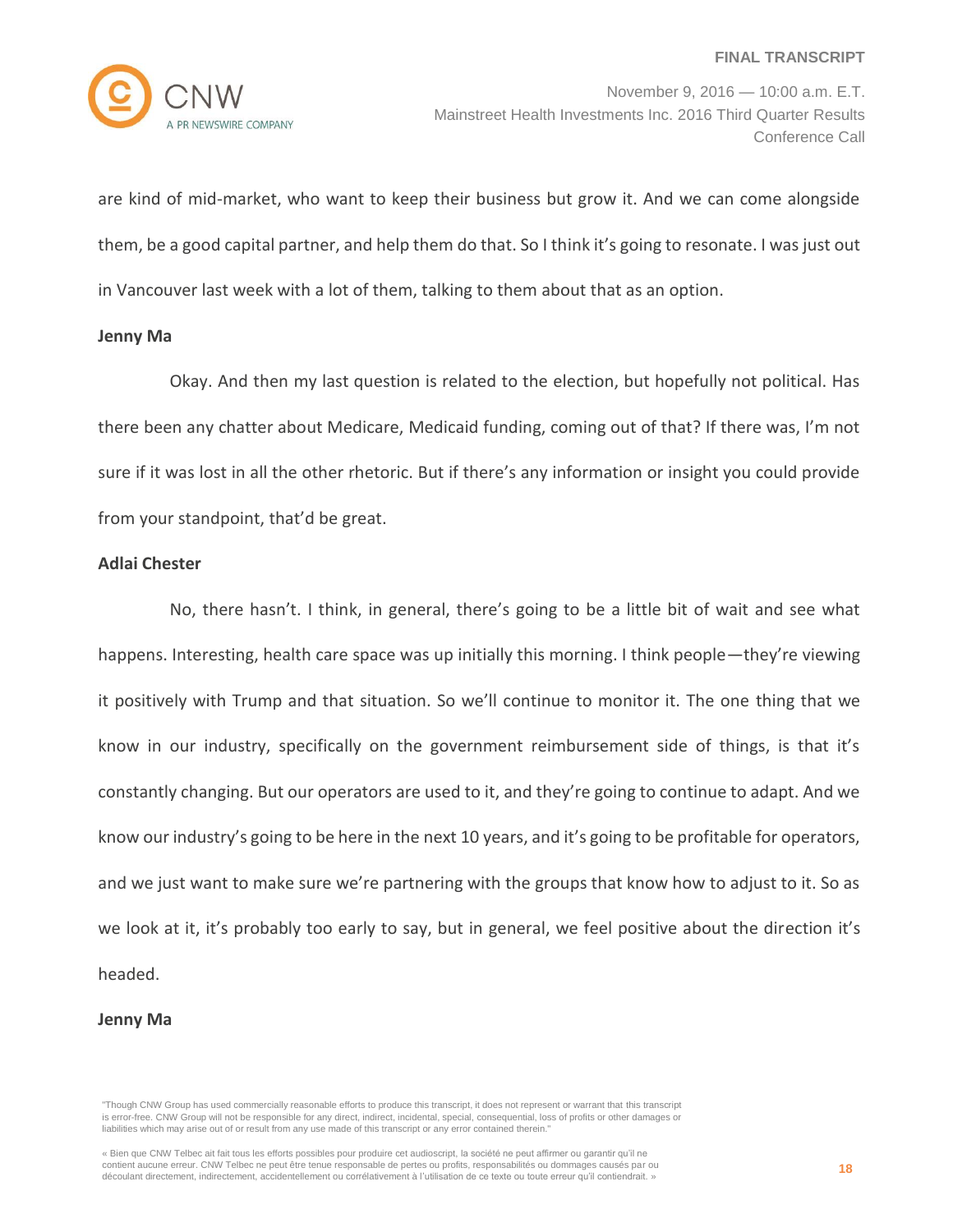

November 9, 2016 — 10:00 a.m. E.T. Mainstreet Health Investments Inc. 2016 Third Quarter Results Conference Call

are kind of mid-market, who want to keep their business but grow it. And we can come alongside them, be a good capital partner, and help them do that. So I think it's going to resonate. I was just out in Vancouver last week with a lot of them, talking to them about that as an option.

#### **Jenny Ma**

Okay. And then my last question is related to the election, but hopefully not political. Has there been any chatter about Medicare, Medicaid funding, coming out of that? If there was, I'm not sure if it was lost in all the other rhetoric. But if there's any information or insight you could provide from your standpoint, that'd be great.

## **Adlai Chester**

No, there hasn't. I think, in general, there's going to be a little bit of wait and see what happens. Interesting, health care space was up initially this morning. I think people—they're viewing it positively with Trump and that situation. So we'll continue to monitor it. The one thing that we know in our industry, specifically on the government reimbursement side of things, is that it's constantly changing. But our operators are used to it, and they're going to continue to adapt. And we know our industry's going to be here in the next 10 years, and it's going to be profitable for operators, and we just want to make sure we're partnering with the groups that know how to adjust to it. So as we look at it, it's probably too early to say, but in general, we feel positive about the direction it's headed.

#### **Jenny Ma**

<sup>«</sup> Bien que CNW Telbec ait fait tous les efforts possibles pour produire cet audioscript, la société ne peut affirmer ou garantir qu'il ne contient aucune erreur. CNW Telbec ne peut être tenue responsable de pertes ou profits, responsabilités ou dommages causés par ou découlant directement, indirectement, accidentellement ou corrélativement à l'utilisation de ce texte ou toute erreur qu'il contiendrait. »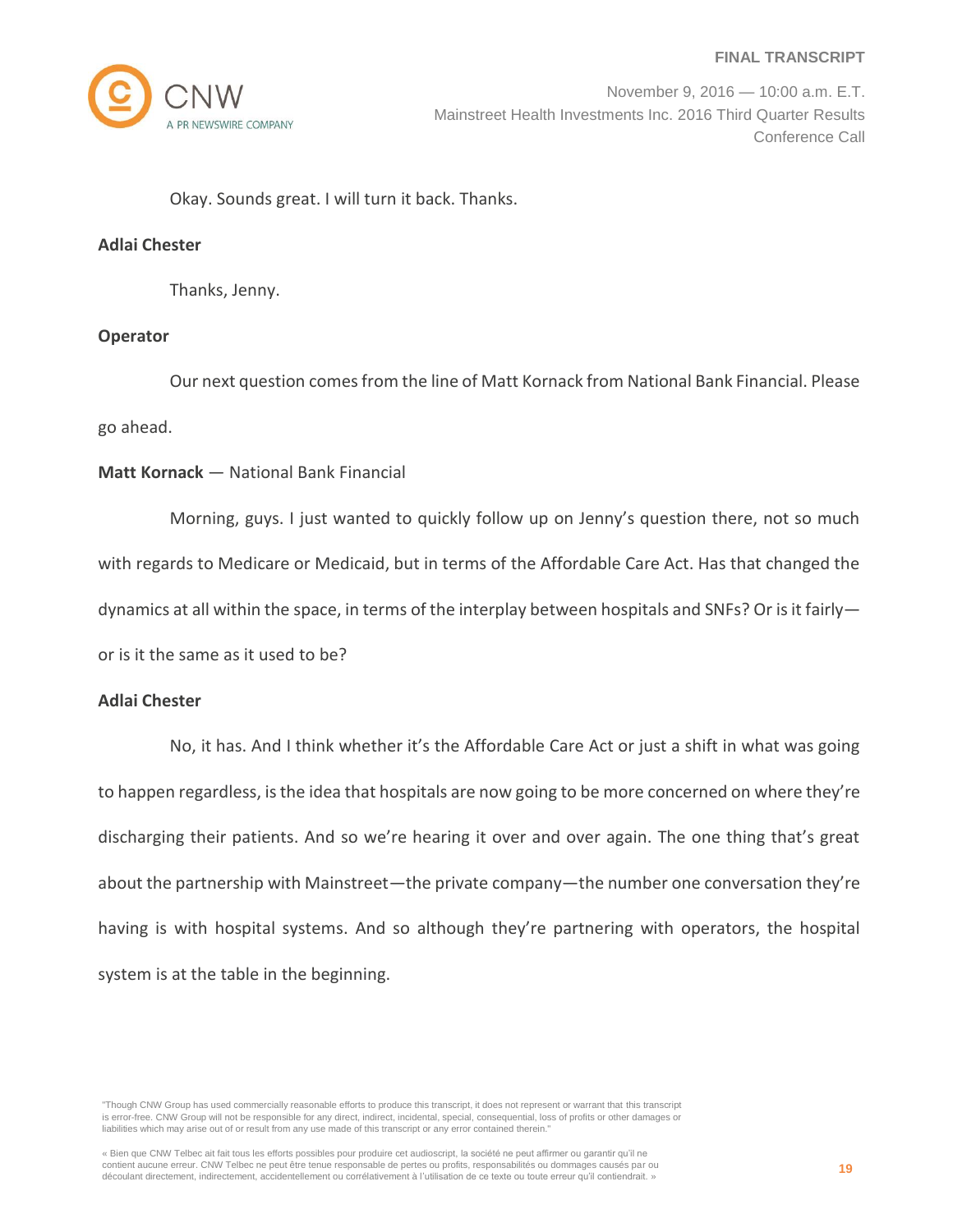

November 9, 2016 — 10:00 a.m. E.T. Mainstreet Health Investments Inc. 2016 Third Quarter Results Conference Call

Okay. Sounds great. I will turn it back. Thanks.

# **Adlai Chester**

Thanks, Jenny.

## **Operator**

Our next question comes from the line of Matt Kornack from National Bank Financial. Please go ahead.

# **Matt Kornack** — National Bank Financial

Morning, guys. I just wanted to quickly follow up on Jenny's question there, not so much with regards to Medicare or Medicaid, but in terms of the Affordable Care Act. Has that changed the dynamics at all within the space, in terms of the interplay between hospitals and SNFs? Or is it fairly or is it the same as it used to be?

### **Adlai Chester**

No, it has. And I think whether it's the Affordable Care Act or just a shift in what was going to happen regardless, is the idea that hospitals are now going to be more concerned on where they're discharging their patients. And so we're hearing it over and over again. The one thing that's great about the partnership with Mainstreet—the private company—the number one conversation they're having is with hospital systems. And so although they're partnering with operators, the hospital system is at the table in the beginning.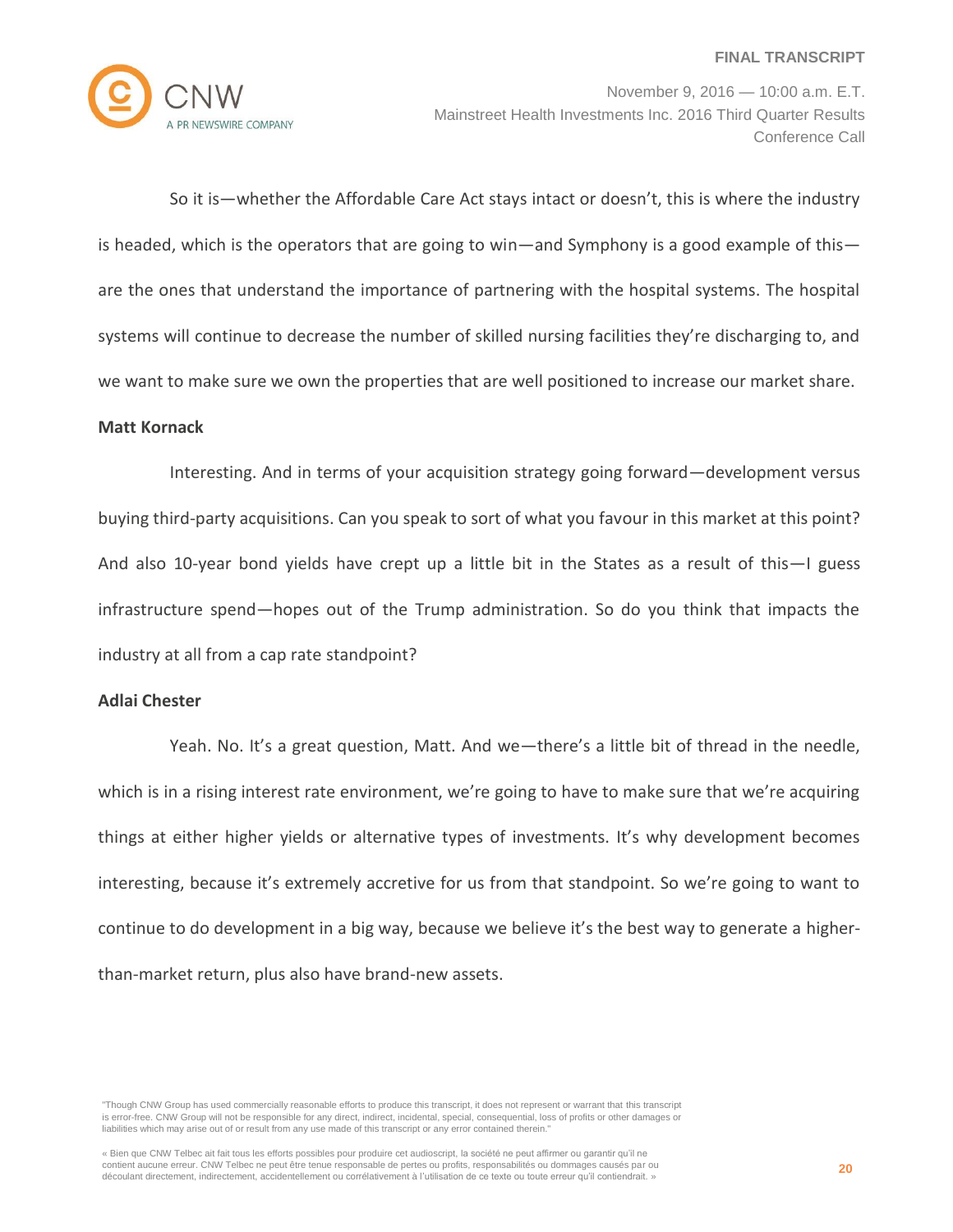

November 9, 2016 — 10:00 a.m. E.T. Mainstreet Health Investments Inc. 2016 Third Quarter Results Conference Call

So it is—whether the Affordable Care Act stays intact or doesn't, this is where the industry is headed, which is the operators that are going to win—and Symphony is a good example of this are the ones that understand the importance of partnering with the hospital systems. The hospital systems will continue to decrease the number of skilled nursing facilities they're discharging to, and we want to make sure we own the properties that are well positioned to increase our market share.

### **Matt Kornack**

Interesting. And in terms of your acquisition strategy going forward—development versus buying third-party acquisitions. Can you speak to sort of what you favour in this market at this point? And also 10-year bond yields have crept up a little bit in the States as a result of this—I guess infrastructure spend—hopes out of the Trump administration. So do you think that impacts the industry at all from a cap rate standpoint?

#### **Adlai Chester**

Yeah. No. It's a great question, Matt. And we—there's a little bit of thread in the needle, which is in a rising interest rate environment, we're going to have to make sure that we're acquiring things at either higher yields or alternative types of investments. It's why development becomes interesting, because it's extremely accretive for us from that standpoint. So we're going to want to continue to do development in a big way, because we believe it's the best way to generate a higherthan-market return, plus also have brand-new assets.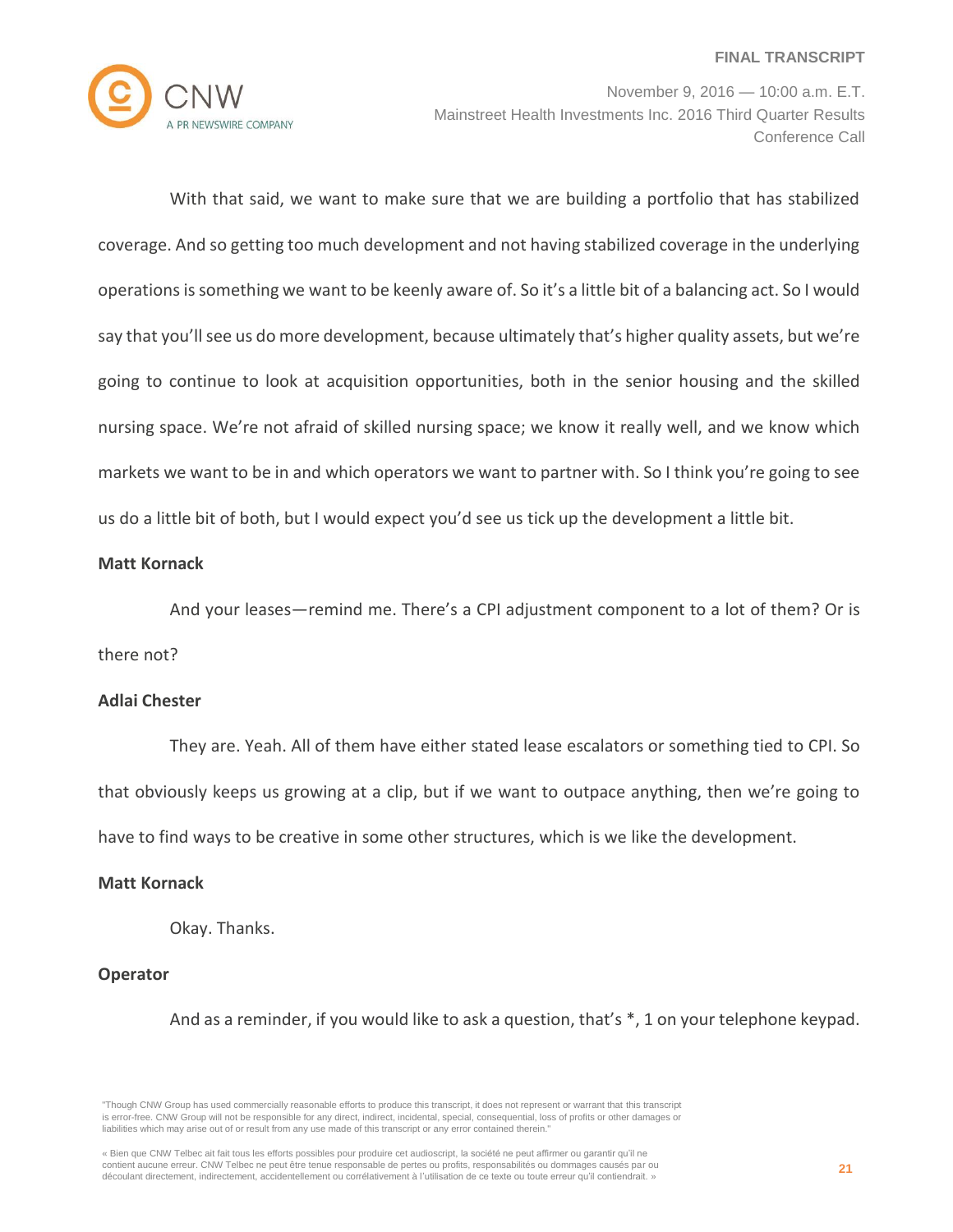

November 9, 2016 — 10:00 a.m. E.T. Mainstreet Health Investments Inc. 2016 Third Quarter Results Conference Call

With that said, we want to make sure that we are building a portfolio that has stabilized coverage. And so getting too much development and not having stabilized coverage in the underlying operations is something we want to be keenly aware of. So it's a little bit of a balancing act. So I would say that you'll see us do more development, because ultimately that's higher quality assets, but we're going to continue to look at acquisition opportunities, both in the senior housing and the skilled nursing space. We're not afraid of skilled nursing space; we know it really well, and we know which markets we want to be in and which operators we want to partner with. So I think you're going to see us do a little bit of both, but I would expect you'd see us tick up the development a little bit.

# **Matt Kornack**

And your leases—remind me. There's a CPI adjustment component to a lot of them? Or is

there not?

# **Adlai Chester**

They are. Yeah. All of them have either stated lease escalators or something tied to CPI. So that obviously keeps us growing at a clip, but if we want to outpace anything, then we're going to have to find ways to be creative in some other structures, which is we like the development.

### **Matt Kornack**

Okay. Thanks.

# **Operator**

And as a reminder, if you would like to ask a question, that's \*, 1 on your telephone keypad.

<sup>«</sup> Bien que CNW Telbec ait fait tous les efforts possibles pour produire cet audioscript, la société ne peut affirmer ou garantir qu'il ne contient aucune erreur. CNW Telbec ne peut être tenue responsable de pertes ou profits, responsabilités ou dommages causés par ou découlant directement, indirectement, accidentellement ou corrélativement à l'utilisation de ce texte ou toute erreur qu'il contiendrait. »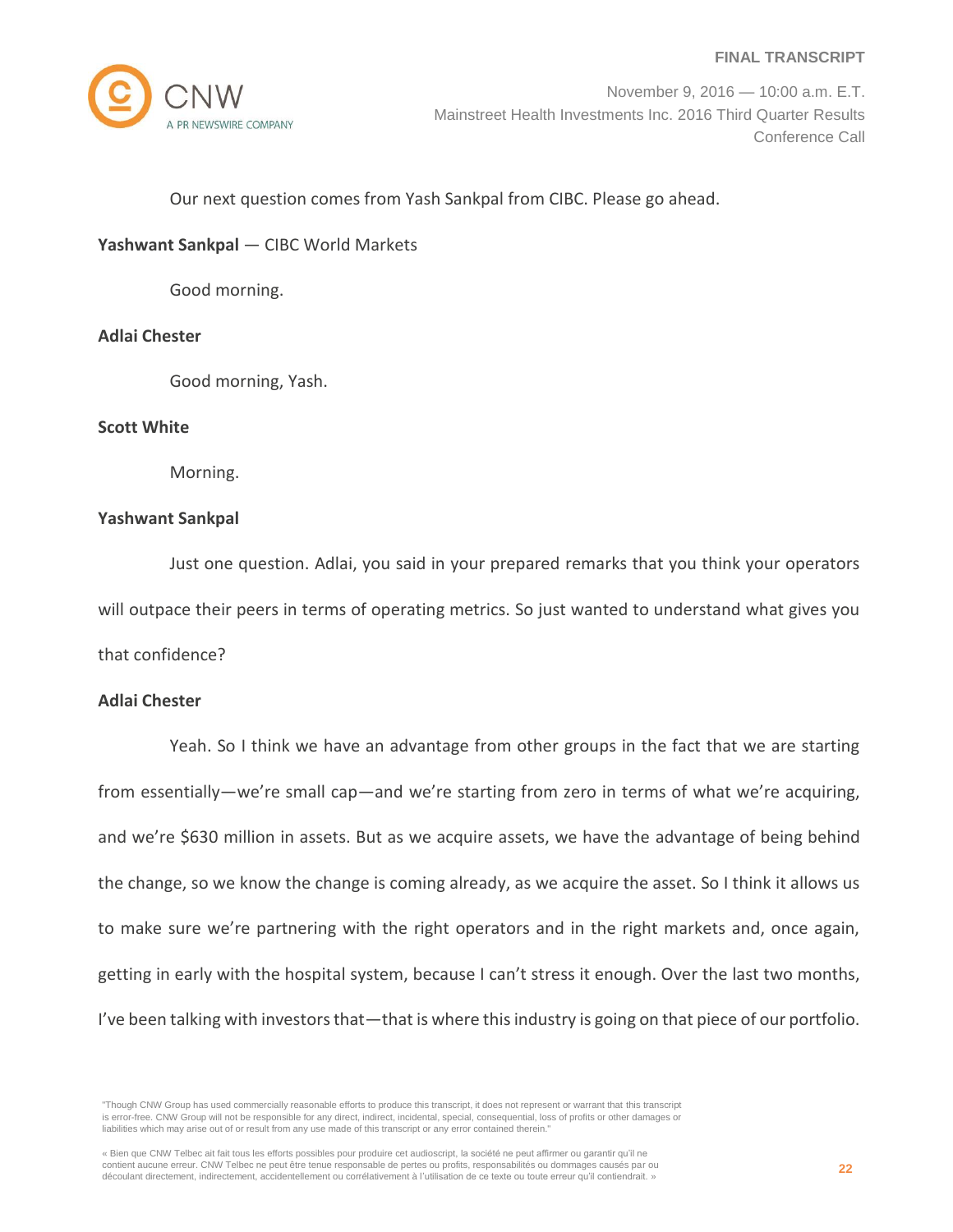

# Our next question comes from Yash Sankpal from CIBC. Please go ahead.

## **Yashwant Sankpal** — CIBC World Markets

Good morning.

# **Adlai Chester**

Good morning, Yash.

## **Scott White**

Morning.

# **Yashwant Sankpal**

Just one question. Adlai, you said in your prepared remarks that you think your operators will outpace their peers in terms of operating metrics. So just wanted to understand what gives you that confidence?

### **Adlai Chester**

Yeah. So I think we have an advantage from other groups in the fact that we are starting from essentially—we're small cap—and we're starting from zero in terms of what we're acquiring, and we're \$630 million in assets. But as we acquire assets, we have the advantage of being behind the change, so we know the change is coming already, as we acquire the asset. So I think it allows us to make sure we're partnering with the right operators and in the right markets and, once again, getting in early with the hospital system, because I can't stress it enough. Over the last two months, I've been talking with investors that—that is where this industry is going on that piece of our portfolio.

<sup>&</sup>quot;Though CNW Group has used commercially reasonable efforts to produce this transcript, it does not represent or warrant that this transcript is error-free. CNW Group will not be responsible for any direct, indirect, incidental, special, consequential, loss of profits or other damages or liabilities which may arise out of or result from any use made of this transcript or any error contained therein."

<sup>«</sup> Bien que CNW Telbec ait fait tous les efforts possibles pour produire cet audioscript, la société ne peut affirmer ou garantir qu'il ne contient aucune erreur. CNW Telbec ne peut être tenue responsable de pertes ou profits, responsabilités ou dommages causés par ou découlant directement, indirectement, accidentellement ou corrélativement à l'utilisation de ce texte ou toute erreur qu'il contiendrait. »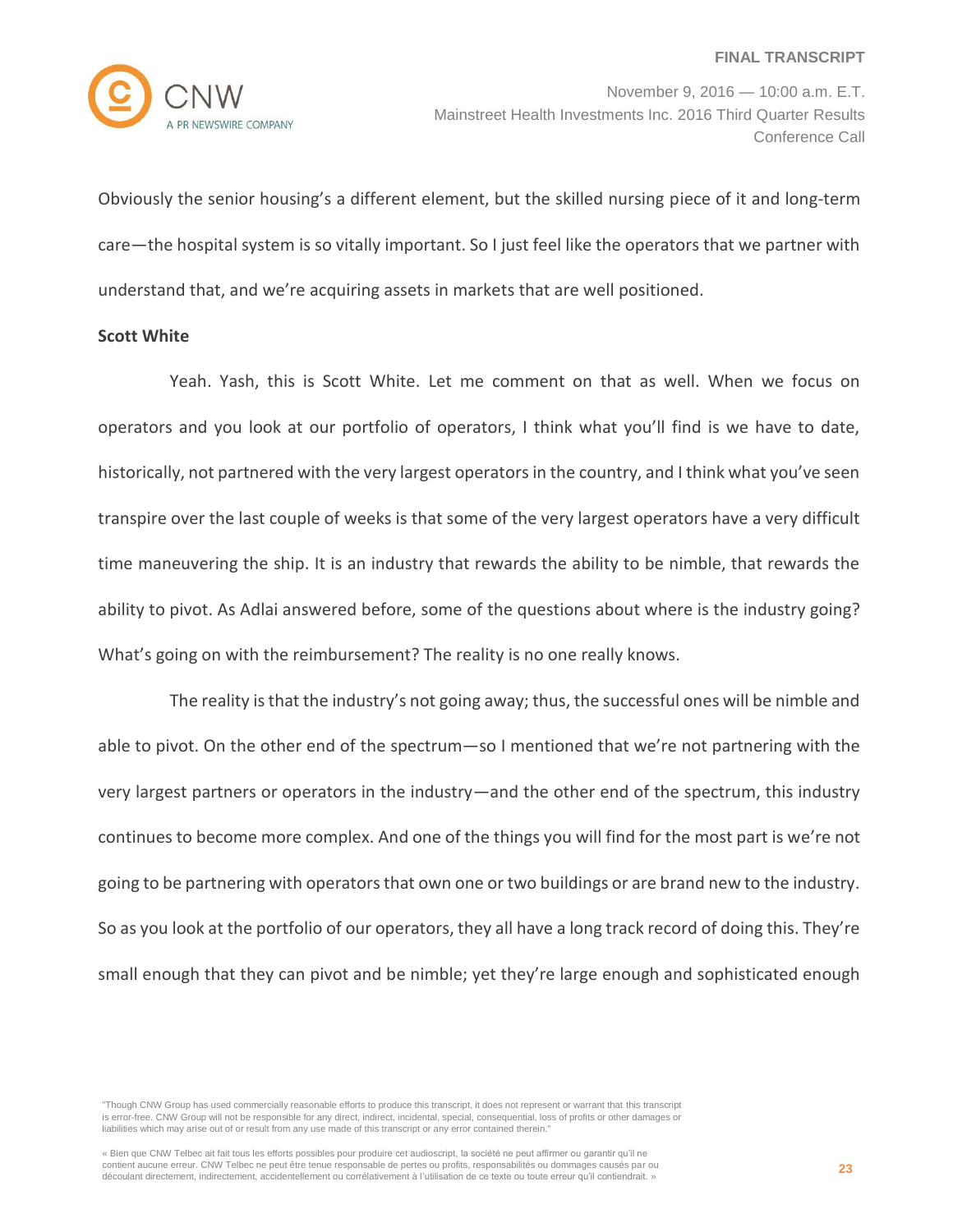

Obviously the senior housing's a different element, but the skilled nursing piece of it and long-term care—the hospital system is so vitally important. So I just feel like the operators that we partner with understand that, and we're acquiring assets in markets that are well positioned.

#### **Scott White**

Yeah. Yash, this is Scott White. Let me comment on that as well. When we focus on operators and you look at our portfolio of operators, I think what you'll find is we have to date, historically, not partnered with the very largest operators in the country, and I think what you've seen transpire over the last couple of weeks is that some of the very largest operators have a very difficult time maneuvering the ship. It is an industry that rewards the ability to be nimble, that rewards the ability to pivot. As Adlai answered before, some of the questions about where is the industry going? What's going on with the reimbursement? The reality is no one really knows.

The reality is that the industry's not going away; thus, the successful ones will be nimble and able to pivot. On the other end of the spectrum—so I mentioned that we're not partnering with the very largest partners or operators in the industry—and the other end of the spectrum, this industry continues to become more complex. And one of the things you will find for the most part is we're not going to be partnering with operators that own one or two buildings or are brand new to the industry. So as you look at the portfolio of our operators, they all have a long track record of doing this. They're small enough that they can pivot and be nimble; yet they're large enough and sophisticated enough